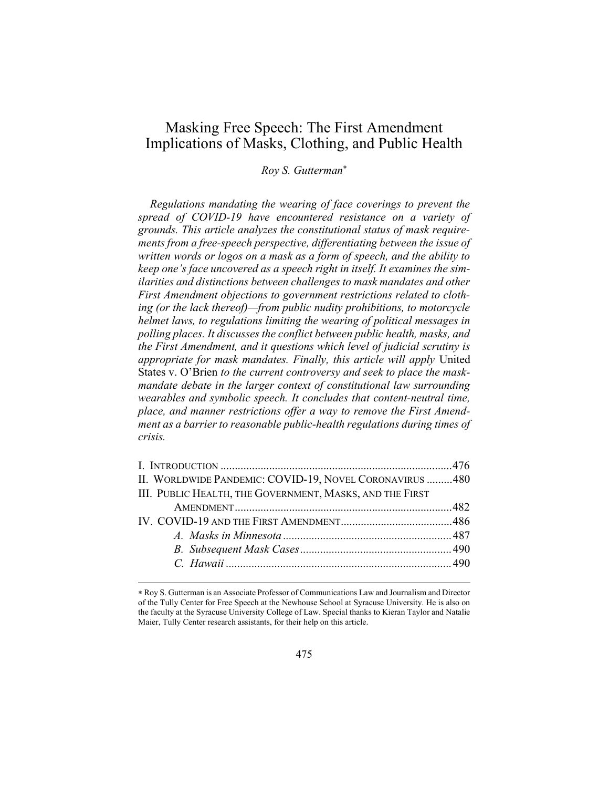# Masking Free Speech: The First Amendment Implications of Masks, Clothing, and Public Health

Roy S. Gutterman

Regulations mandating the wearing of face coverings to prevent the spread of COVID-19 have encountered resistance on a variety of grounds. This article analyzes the constitutional status of mask requirements from a free-speech perspective, differentiating between the issue of written words or logos on a mask as a form of speech, and the ability to keep one's face uncovered as a speech right in itself. It examines the similarities and distinctions between challenges to mask mandates and other First Amendment objections to government restrictions related to clothing (or the lack thereof)—from public nudity prohibitions, to motorcycle helmet laws, to regulations limiting the wearing of political messages in polling places. It discusses the conflict between public health, masks, and the First Amendment, and it questions which level of judicial scrutiny is appropriate for mask mandates. Finally, this article will apply United States v. O'Brien to the current controversy and seek to place the maskmandate debate in the larger context of constitutional law surrounding wearables and symbolic speech. It concludes that content-neutral time, place, and manner restrictions offer a way to remove the First Amendment as a barrier to reasonable public-health regulations during times of crisis.

| II. WORLDWIDE PANDEMIC: COVID-19, NOVEL CORONAVIRUS 480  |  |
|----------------------------------------------------------|--|
| III. PUBLIC HEALTH, THE GOVERNMENT, MASKS, AND THE FIRST |  |
|                                                          |  |
|                                                          |  |
|                                                          |  |
|                                                          |  |
|                                                          |  |
|                                                          |  |

Roy S. Gutterman is an Associate Professor of Communications Law and Journalism and Director of the Tully Center for Free Speech at the Newhouse School at Syracuse University. He is also on the faculty at the Syracuse University College of Law. Special thanks to Kieran Taylor and Natalie Maier, Tully Center research assistants, for their help on this article.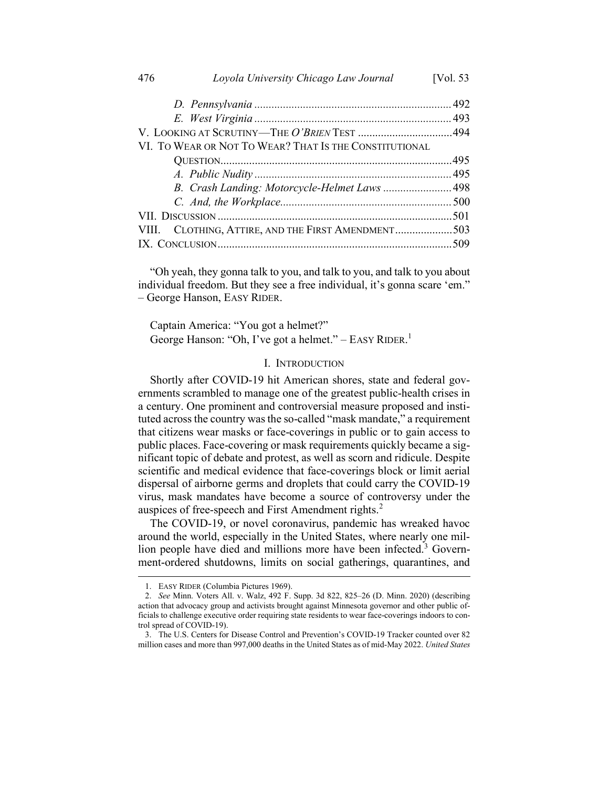| VI. TO WEAR OR NOT TO WEAR? THAT IS THE CONSTITUTIONAL |  |
|--------------------------------------------------------|--|
|                                                        |  |
|                                                        |  |
|                                                        |  |
|                                                        |  |
|                                                        |  |
| VIII. CLOTHING, ATTIRE, AND THE FIRST AMENDMENT503     |  |
|                                                        |  |
|                                                        |  |

"Oh yeah, they gonna talk to you, and talk to you, and talk to you about individual freedom. But they see a free individual, it's gonna scare 'em." – George Hanson, EASY RIDER.

Captain America: "You got a helmet?" George Hanson: "Oh, I've got a helmet." – EASY RIDER.<sup>1</sup>

# I. INTRODUCTION

Shortly after COVID-19 hit American shores, state and federal governments scrambled to manage one of the greatest public-health crises in a century. One prominent and controversial measure proposed and instituted across the country was the so-called "mask mandate," a requirement that citizens wear masks or face-coverings in public or to gain access to public places. Face-covering or mask requirements quickly became a significant topic of debate and protest, as well as scorn and ridicule. Despite scientific and medical evidence that face-coverings block or limit aerial dispersal of airborne germs and droplets that could carry the COVID-19 virus, mask mandates have become a source of controversy under the auspices of free-speech and First Amendment rights. $2$ 

The COVID-19, or novel coronavirus, pandemic has wreaked havoc around the world, especially in the United States, where nearly one million people have died and millions more have been infected.<sup>3</sup> Government-ordered shutdowns, limits on social gatherings, quarantines, and

<sup>1.</sup> EASY RIDER (Columbia Pictures 1969).

<sup>2.</sup> See Minn. Voters All. v. Walz, 492 F. Supp. 3d 822, 825–26 (D. Minn. 2020) (describing action that advocacy group and activists brought against Minnesota governor and other public officials to challenge executive order requiring state residents to wear face-coverings indoors to control spread of COVID-19).

<sup>3.</sup> The U.S. Centers for Disease Control and Prevention's COVID-19 Tracker counted over 82 million cases and more than 997,000 deaths in the United States as of mid-May 2022. United States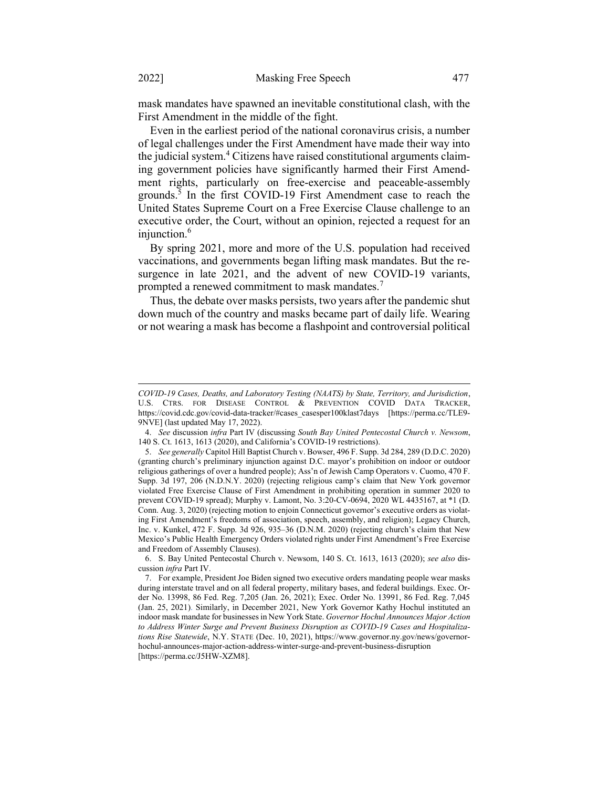mask mandates have spawned an inevitable constitutional clash, with the First Amendment in the middle of the fight.

Even in the earliest period of the national coronavirus crisis, a number of legal challenges under the First Amendment have made their way into the judicial system.<sup>4</sup> Citizens have raised constitutional arguments claiming government policies have significantly harmed their First Amendment rights, particularly on free-exercise and peaceable-assembly grounds.<sup>3</sup> In the first COVID-19 First Amendment case to reach the United States Supreme Court on a Free Exercise Clause challenge to an executive order, the Court, without an opinion, rejected a request for an injunction.<sup>6</sup>

By spring 2021, more and more of the U.S. population had received vaccinations, and governments began lifting mask mandates. But the resurgence in late 2021, and the advent of new COVID-19 variants, prompted a renewed commitment to mask mandates.<sup>7</sup>

Thus, the debate over masks persists, two years after the pandemic shut down much of the country and masks became part of daily life. Wearing or not wearing a mask has become a flashpoint and controversial political

COVID-19 Cases, Deaths, and Laboratory Testing (NAATS) by State, Territory, and Jurisdiction, U.S. CTRS. FOR DISEASE CONTROL & PREVENTION COVID DATA TRACKER, https://covid.cdc.gov/covid-data-tracker/#cases\_casesper100klast7days [https://perma.cc/TLE9- 9NVE] (last updated May 17, 2022).

<sup>4.</sup> See discussion infra Part IV (discussing South Bay United Pentecostal Church v. Newsom, 140 S. Ct. 1613, 1613 (2020), and California's COVID-19 restrictions).

<sup>5.</sup> See generally Capitol Hill Baptist Church v. Bowser, 496 F. Supp. 3d 284, 289 (D.D.C. 2020) (granting church's preliminary injunction against D.C. mayor's prohibition on indoor or outdoor religious gatherings of over a hundred people); Ass'n of Jewish Camp Operators v. Cuomo, 470 F. Supp. 3d 197, 206 (N.D.N.Y. 2020) (rejecting religious camp's claim that New York governor violated Free Exercise Clause of First Amendment in prohibiting operation in summer 2020 to prevent COVID-19 spread); Murphy v. Lamont, No. 3:20-CV-0694, 2020 WL 4435167, at \*1 (D. Conn. Aug. 3, 2020) (rejecting motion to enjoin Connecticut governor's executive orders as violating First Amendment's freedoms of association, speech, assembly, and religion); Legacy Church, Inc. v. Kunkel, 472 F. Supp. 3d 926, 935–36 (D.N.M. 2020) (rejecting church's claim that New Mexico's Public Health Emergency Orders violated rights under First Amendment's Free Exercise and Freedom of Assembly Clauses).

<sup>6.</sup> S. Bay United Pentecostal Church v. Newsom, 140 S. Ct. 1613, 1613 (2020); see also discussion infra Part IV.

<sup>7.</sup> For example, President Joe Biden signed two executive orders mandating people wear masks during interstate travel and on all federal property, military bases, and federal buildings. Exec. Order No. 13998, 86 Fed. Reg. 7,205 (Jan. 26, 2021); Exec. Order No. 13991, 86 Fed. Reg. 7,045 (Jan. 25, 2021). Similarly, in December 2021, New York Governor Kathy Hochul instituted an indoor mask mandate for businesses in New York State. Governor Hochul Announces Major Action to Address Winter Surge and Prevent Business Disruption as COVID-19 Cases and Hospitalizations Rise Statewide, N.Y. STATE (Dec. 10, 2021), https://www.governor.ny.gov/news/governorhochul-announces-major-action-address-winter-surge-and-prevent-business-disruption [https://perma.cc/J5HW-XZM8].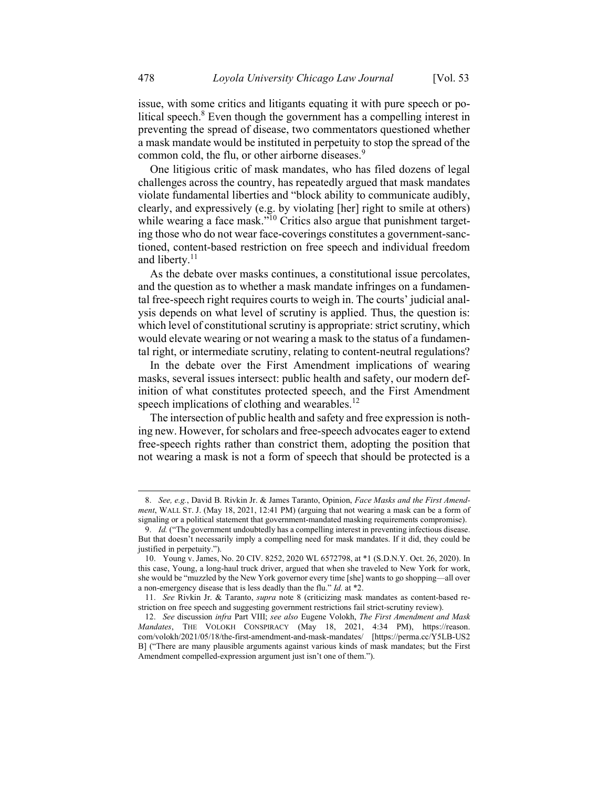issue, with some critics and litigants equating it with pure speech or political speech.<sup>8</sup> Even though the government has a compelling interest in preventing the spread of disease, two commentators questioned whether a mask mandate would be instituted in perpetuity to stop the spread of the common cold, the flu, or other airborne diseases.<sup>9</sup>

One litigious critic of mask mandates, who has filed dozens of legal challenges across the country, has repeatedly argued that mask mandates violate fundamental liberties and "block ability to communicate audibly, clearly, and expressively (e.g. by violating [her] right to smile at others) while wearing a face mask."<sup>10</sup> Critics also argue that punishment targeting those who do not wear face-coverings constitutes a government-sanctioned, content-based restriction on free speech and individual freedom and liberty.<sup>11</sup>

As the debate over masks continues, a constitutional issue percolates, and the question as to whether a mask mandate infringes on a fundamental free-speech right requires courts to weigh in. The courts' judicial analysis depends on what level of scrutiny is applied. Thus, the question is: which level of constitutional scrutiny is appropriate: strict scrutiny, which would elevate wearing or not wearing a mask to the status of a fundamental right, or intermediate scrutiny, relating to content-neutral regulations?

In the debate over the First Amendment implications of wearing masks, several issues intersect: public health and safety, our modern definition of what constitutes protected speech, and the First Amendment speech implications of clothing and wearables. $^{12}$ 

The intersection of public health and safety and free expression is nothing new. However, for scholars and free-speech advocates eager to extend free-speech rights rather than constrict them, adopting the position that not wearing a mask is not a form of speech that should be protected is a

<sup>8.</sup> See, e.g., David B. Rivkin Jr. & James Taranto, Opinion, Face Masks and the First Amendment, WALL ST. J. (May 18, 2021, 12:41 PM) (arguing that not wearing a mask can be a form of signaling or a political statement that government-mandated masking requirements compromise).

<sup>9.</sup> Id. ("The government undoubtedly has a compelling interest in preventing infectious disease. But that doesn't necessarily imply a compelling need for mask mandates. If it did, they could be justified in perpetuity.").

<sup>10.</sup> Young v. James, No. 20 CIV. 8252, 2020 WL 6572798, at \*1 (S.D.N.Y. Oct. 26, 2020). In this case, Young, a long-haul truck driver, argued that when she traveled to New York for work, she would be "muzzled by the New York governor every time [she] wants to go shopping—all over a non-emergency disease that is less deadly than the flu." Id. at \*2.

<sup>11.</sup> See Rivkin Jr. & Taranto, supra note 8 (criticizing mask mandates as content-based restriction on free speech and suggesting government restrictions fail strict-scrutiny review).

<sup>12.</sup> See discussion infra Part VIII; see also Eugene Volokh, The First Amendment and Mask Mandates, THE VOLOKH CONSPIRACY (May 18, 2021, 4:34 PM), https://reason. com/volokh/2021/05/18/the-first-amendment-and-mask-mandates/ [https://perma.cc/Y5LB-US2 B] ("There are many plausible arguments against various kinds of mask mandates; but the First Amendment compelled-expression argument just isn't one of them.").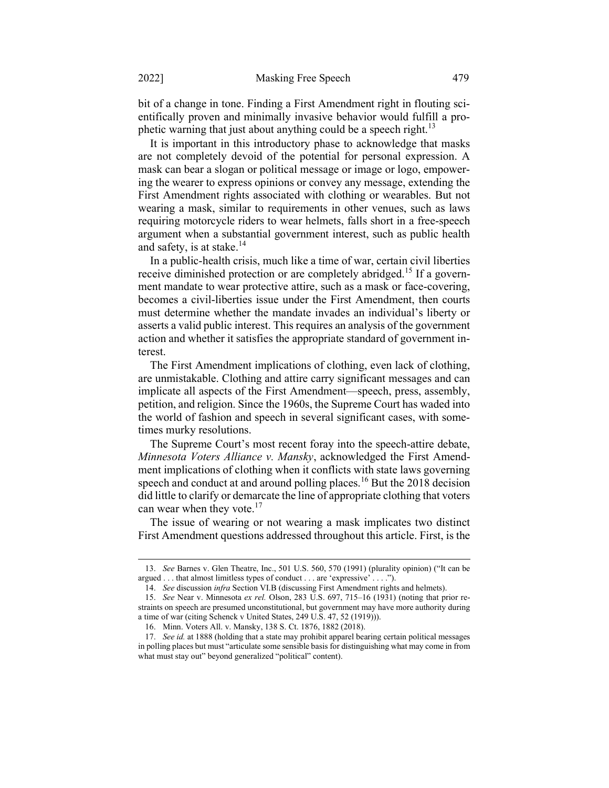bit of a change in tone. Finding a First Amendment right in flouting scientifically proven and minimally invasive behavior would fulfill a prophetic warning that just about anything could be a speech right.<sup>13</sup>

It is important in this introductory phase to acknowledge that masks are not completely devoid of the potential for personal expression. A mask can bear a slogan or political message or image or logo, empowering the wearer to express opinions or convey any message, extending the First Amendment rights associated with clothing or wearables. But not wearing a mask, similar to requirements in other venues, such as laws requiring motorcycle riders to wear helmets, falls short in a free-speech argument when a substantial government interest, such as public health and safety, is at stake. $14$ 

In a public-health crisis, much like a time of war, certain civil liberties receive diminished protection or are completely abridged.<sup>15</sup> If a government mandate to wear protective attire, such as a mask or face-covering, becomes a civil-liberties issue under the First Amendment, then courts must determine whether the mandate invades an individual's liberty or asserts a valid public interest. This requires an analysis of the government action and whether it satisfies the appropriate standard of government interest.

The First Amendment implications of clothing, even lack of clothing, are unmistakable. Clothing and attire carry significant messages and can implicate all aspects of the First Amendment—speech, press, assembly, petition, and religion. Since the 1960s, the Supreme Court has waded into the world of fashion and speech in several significant cases, with sometimes murky resolutions.

The Supreme Court's most recent foray into the speech-attire debate, Minnesota Voters Alliance v. Mansky, acknowledged the First Amendment implications of clothing when it conflicts with state laws governing speech and conduct at and around polling places.<sup>16</sup> But the 2018 decision did little to clarify or demarcate the line of appropriate clothing that voters can wear when they vote.<sup>17</sup>

The issue of wearing or not wearing a mask implicates two distinct First Amendment questions addressed throughout this article. First, is the

<sup>13.</sup> See Barnes v. Glen Theatre, Inc., 501 U.S. 560, 570 (1991) (plurality opinion) ("It can be argued . . . that almost limitless types of conduct . . . are 'expressive' . . . .").

<sup>14.</sup> See discussion infra Section VI.B (discussing First Amendment rights and helmets).

<sup>15.</sup> See Near v. Minnesota ex rel. Olson, 283 U.S. 697, 715–16 (1931) (noting that prior restraints on speech are presumed unconstitutional, but government may have more authority during a time of war (citing Schenck v United States, 249 U.S. 47, 52 (1919))).

<sup>16.</sup> Minn. Voters All. v. Mansky, 138 S. Ct. 1876, 1882 (2018).

<sup>17.</sup> See id. at 1888 (holding that a state may prohibit apparel bearing certain political messages in polling places but must "articulate some sensible basis for distinguishing what may come in from what must stay out" beyond generalized "political" content).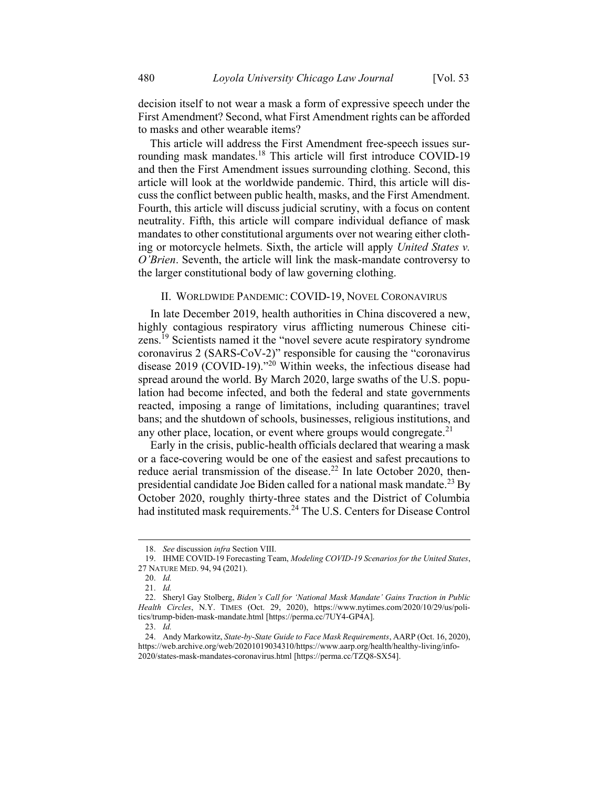decision itself to not wear a mask a form of expressive speech under the First Amendment? Second, what First Amendment rights can be afforded to masks and other wearable items?

This article will address the First Amendment free-speech issues surrounding mask mandates.<sup>18</sup> This article will first introduce COVID-19 and then the First Amendment issues surrounding clothing. Second, this article will look at the worldwide pandemic. Third, this article will discuss the conflict between public health, masks, and the First Amendment. Fourth, this article will discuss judicial scrutiny, with a focus on content neutrality. Fifth, this article will compare individual defiance of mask mandates to other constitutional arguments over not wearing either clothing or motorcycle helmets. Sixth, the article will apply United States v. O'Brien. Seventh, the article will link the mask-mandate controversy to the larger constitutional body of law governing clothing.

#### II. WORLDWIDE PANDEMIC: COVID-19, NOVEL CORONAVIRUS

In late December 2019, health authorities in China discovered a new, highly contagious respiratory virus afflicting numerous Chinese citizens.<sup>19</sup> Scientists named it the "novel severe acute respiratory syndrome" coronavirus 2 (SARS-CoV-2)" responsible for causing the "coronavirus disease 2019 (COVID-19)."<sup>20</sup> Within weeks, the infectious disease had spread around the world. By March 2020, large swaths of the U.S. population had become infected, and both the federal and state governments reacted, imposing a range of limitations, including quarantines; travel bans; and the shutdown of schools, businesses, religious institutions, and any other place, location, or event where groups would congregate. $^{21}$ 

Early in the crisis, public-health officials declared that wearing a mask or a face-covering would be one of the easiest and safest precautions to reduce aerial transmission of the disease.<sup>22</sup> In late October 2020, thenpresidential candidate Joe Biden called for a national mask mandate.<sup>23</sup> By October 2020, roughly thirty-three states and the District of Columbia had instituted mask requirements.<sup>24</sup> The U.S. Centers for Disease Control

<sup>18.</sup> See discussion infra Section VIII.

<sup>19.</sup> IHME COVID-19 Forecasting Team, Modeling COVID-19 Scenarios for the United States, 27 NATURE MED. 94, 94 (2021).

<sup>20.</sup> Id.

<sup>21.</sup> Id.

<sup>22.</sup> Sheryl Gay Stolberg, Biden's Call for 'National Mask Mandate' Gains Traction in Public Health Circles, N.Y. TIMES (Oct. 29, 2020), https://www.nytimes.com/2020/10/29/us/politics/trump-biden-mask-mandate.html [https://perma.cc/7UY4-GP4A].

<sup>23.</sup> Id.

<sup>24.</sup> Andy Markowitz, State-by-State Guide to Face Mask Requirements, AARP (Oct. 16, 2020), https://web.archive.org/web/20201019034310/https://www.aarp.org/health/healthy-living/info-2020/states-mask-mandates-coronavirus.html [https://perma.cc/TZQ8-SX54].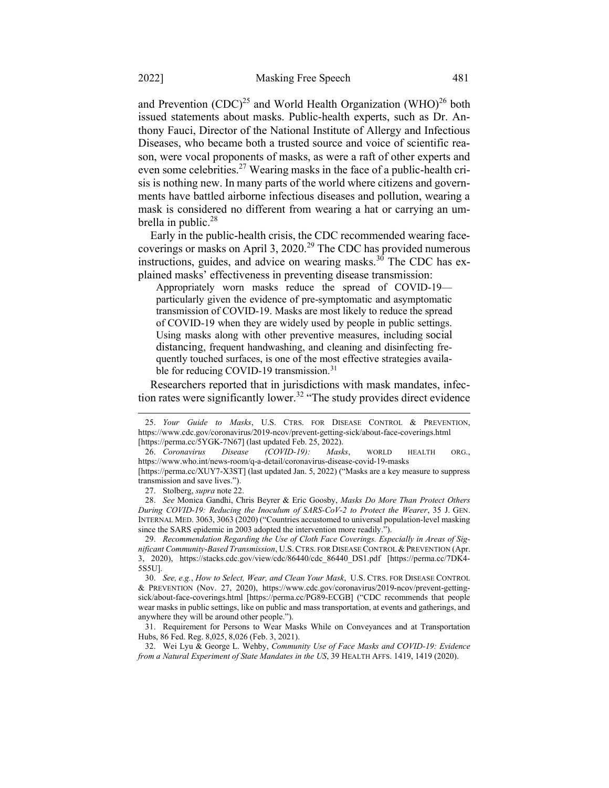and Prevention  $(CDC)^{25}$  and World Health Organization  $(WHO)^{26}$  both issued statements about masks. Public-health experts, such as Dr. Anthony Fauci, Director of the National Institute of Allergy and Infectious Diseases, who became both a trusted source and voice of scientific reason, were vocal proponents of masks, as were a raft of other experts and even some celebrities.<sup>27</sup> Wearing masks in the face of a public-health crisis is nothing new. In many parts of the world where citizens and governments have battled airborne infectious diseases and pollution, wearing a mask is considered no different from wearing a hat or carrying an umbrella in public.<sup>28</sup>

Early in the public-health crisis, the CDC recommended wearing facecoverings or masks on April 3, 2020.<sup>29</sup> The CDC has provided numerous instructions, guides, and advice on wearing masks.<sup>30</sup> The CDC has explained masks' effectiveness in preventing disease transmission:

Appropriately worn masks reduce the spread of COVID-19 particularly given the evidence of pre-symptomatic and asymptomatic transmission of COVID-19. Masks are most likely to reduce the spread of COVID-19 when they are widely used by people in public settings. Using masks along with other preventive measures, including social distancing, frequent handwashing, and cleaning and disinfecting frequently touched surfaces, is one of the most effective strategies available for reducing COVID-19 transmission.<sup>31</sup>

Researchers reported that in jurisdictions with mask mandates, infection rates were significantly lower.<sup>32</sup> "The study provides direct evidence

[https://perma.cc/XUY7-X3ST] (last updated Jan. 5, 2022) ("Masks are a key measure to suppress transmission and save lives.").

27. Stolberg, supra note 22.

28. See Monica Gandhi, Chris Beyrer & Eric Goosby, Masks Do More Than Protect Others During COVID-19: Reducing the Inoculum of SARS-CoV-2 to Protect the Wearer, 35 J. GEN. INTERNAL MED. 3063, 3063 (2020) ("Countries accustomed to universal population-level masking since the SARS epidemic in 2003 adopted the intervention more readily.").

29. Recommendation Regarding the Use of Cloth Face Coverings. Especially in Areas of Significant Community-Based Transmission, U.S.CTRS. FOR DISEASE CONTROL & PREVENTION (Apr. 3, 2020), https://stacks.cdc.gov/view/cdc/86440/cdc\_86440\_DS1.pdf [https://perma.cc/7DK4- 5S5U].

30. See, e.g., How to Select, Wear, and Clean Your Mask, U.S. CTRS. FOR DISEASE CONTROL & PREVENTION (Nov. 27, 2020), https://www.cdc.gov/coronavirus/2019-ncov/prevent-gettingsick/about-face-coverings.html [https://perma.cc/PG89-ECGB] ("CDC recommends that people wear masks in public settings, like on public and mass transportation, at events and gatherings, and anywhere they will be around other people.").

31. Requirement for Persons to Wear Masks While on Conveyances and at Transportation Hubs, 86 Fed. Reg. 8,025, 8,026 (Feb. 3, 2021).

32. Wei Lyu & George L. Wehby, Community Use of Face Masks and COVID-19: Evidence from a Natural Experiment of State Mandates in the US, 39 HEALTH AFFS. 1419, 1419 (2020).

<sup>25.</sup> Your Guide to Masks, U.S. CTRS. FOR DISEASE CONTROL & PREVENTION, https://www.cdc.gov/coronavirus/2019-ncov/prevent-getting-sick/about-face-coverings.html [https://perma.cc/5YGK-7N67] (last updated Feb. 25, 2022).

<sup>26.</sup> Coronavirus Disease (COVID-19): Masks, WORLD HEALTH ORG., https://www.who.int/news-room/q-a-detail/coronavirus-disease-covid-19-masks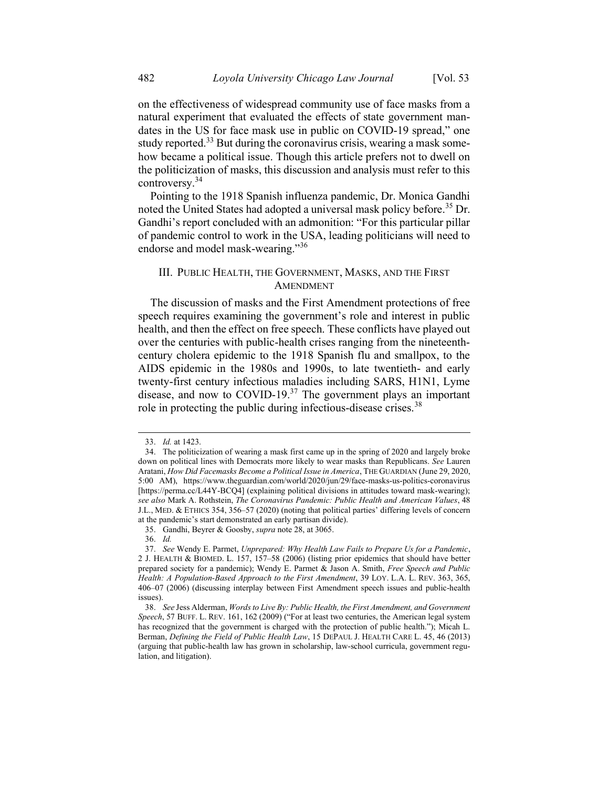on the effectiveness of widespread community use of face masks from a natural experiment that evaluated the effects of state government mandates in the US for face mask use in public on COVID-19 spread," one study reported.<sup>33</sup> But during the coronavirus crisis, wearing a mask somehow became a political issue. Though this article prefers not to dwell on the politicization of masks, this discussion and analysis must refer to this controversy.<sup>34</sup>

Pointing to the 1918 Spanish influenza pandemic, Dr. Monica Gandhi noted the United States had adopted a universal mask policy before.<sup>35</sup> Dr. Gandhi's report concluded with an admonition: "For this particular pillar of pandemic control to work in the USA, leading politicians will need to endorse and model mask-wearing."<sup>36</sup>

# III. PUBLIC HEALTH, THE GOVERNMENT, MASKS, AND THE FIRST AMENDMENT

The discussion of masks and the First Amendment protections of free speech requires examining the government's role and interest in public health, and then the effect on free speech. These conflicts have played out over the centuries with public-health crises ranging from the nineteenthcentury cholera epidemic to the 1918 Spanish flu and smallpox, to the AIDS epidemic in the 1980s and 1990s, to late twentieth- and early twenty-first century infectious maladies including SARS, H1N1, Lyme disease, and now to COVID-19.<sup>37</sup> The government plays an important role in protecting the public during infectious-disease crises.<sup>38</sup>

<sup>33.</sup> Id. at 1423.

<sup>34.</sup> The politicization of wearing a mask first came up in the spring of 2020 and largely broke down on political lines with Democrats more likely to wear masks than Republicans. See Lauren Aratani, How Did Facemasks Become a Political Issue in America, THE GUARDIAN (June 29, 2020, 5:00 AM), https://www.theguardian.com/world/2020/jun/29/face-masks-us-politics-coronavirus [https://perma.cc/L44Y-BCQ4] (explaining political divisions in attitudes toward mask-wearing); see also Mark A. Rothstein, The Coronavirus Pandemic: Public Health and American Values, 48 J.L., MED. & ETHICS 354, 356–57 (2020) (noting that political parties' differing levels of concern at the pandemic's start demonstrated an early partisan divide).

<sup>35.</sup> Gandhi, Beyrer & Goosby, supra note 28, at 3065.

<sup>36.</sup> Id.

<sup>37.</sup> See Wendy E. Parmet, Unprepared: Why Health Law Fails to Prepare Us for a Pandemic, 2 J. HEALTH & BIOMED. L. 157, 157–58 (2006) (listing prior epidemics that should have better prepared society for a pandemic); Wendy E. Parmet & Jason A. Smith, Free Speech and Public Health: A Population-Based Approach to the First Amendment, 39 LOY. L.A. L. REV. 363, 365, 406–07 (2006) (discussing interplay between First Amendment speech issues and public-health issues).

<sup>38.</sup> See Jess Alderman, Words to Live By: Public Health, the First Amendment, and Government Speech, 57 BUFF. L. REV. 161, 162 (2009) ("For at least two centuries, the American legal system has recognized that the government is charged with the protection of public health."); Micah L. Berman, Defining the Field of Public Health Law, 15 DEPAUL J. HEALTH CARE L. 45, 46 (2013) (arguing that public-health law has grown in scholarship, law-school curricula, government regulation, and litigation).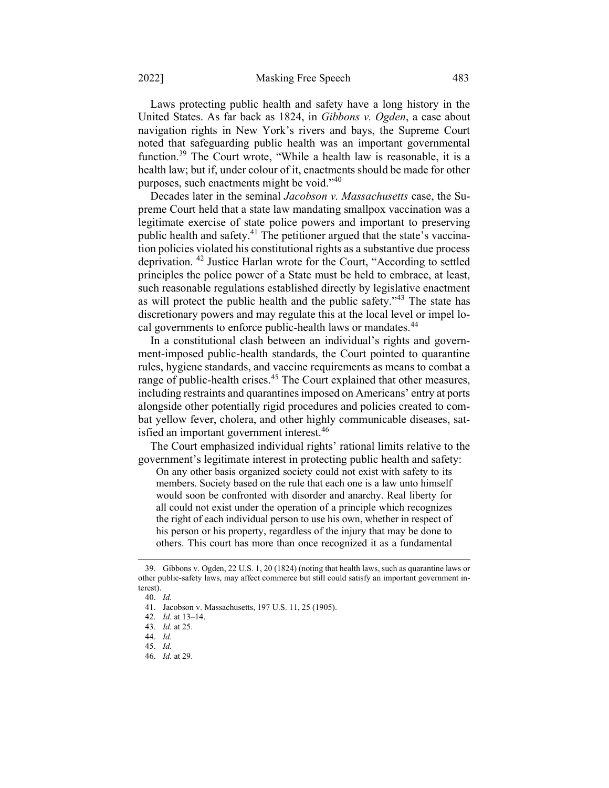Laws protecting public health and safety have a long history in the United States. As far back as 1824, in Gibbons v. Ogden, a case about navigation rights in New York's rivers and bays, the Supreme Court noted that safeguarding public health was an important governmental function.<sup>39</sup> The Court wrote, "While a health law is reasonable, it is a health law; but if, under colour of it, enactments should be made for other purposes, such enactments might be void." $40$ 

Decades later in the seminal Jacobson v. Massachusetts case, the Supreme Court held that a state law mandating smallpox vaccination was a legitimate exercise of state police powers and important to preserving public health and safety.<sup>41</sup> The petitioner argued that the state's vaccination policies violated his constitutional rights as a substantive due process deprivation. <sup>42</sup> Justice Harlan wrote for the Court, "According to settled principles the police power of a State must be held to embrace, at least, such reasonable regulations established directly by legislative enactment as will protect the public health and the public safety."<sup>43</sup> The state has discretionary powers and may regulate this at the local level or impel local governments to enforce public-health laws or mandates.<sup>44</sup>

In a constitutional clash between an individual's rights and government-imposed public-health standards, the Court pointed to quarantine rules, hygiene standards, and vaccine requirements as means to combat a range of public-health crises.<sup>45</sup> The Court explained that other measures, including restraints and quarantines imposed on Americans' entry at ports alongside other potentially rigid procedures and policies created to combat yellow fever, cholera, and other highly communicable diseases, satisfied an important government interest.<sup>46</sup>

The Court emphasized individual rights' rational limits relative to the government's legitimate interest in protecting public health and safety:

On any other basis organized society could not exist with safety to its members. Society based on the rule that each one is a law unto himself would soon be confronted with disorder and anarchy. Real liberty for all could not exist under the operation of a principle which recognizes the right of each individual person to use his own, whether in respect of his person or his property, regardless of the injury that may be done to others. This court has more than once recognized it as a fundamental

<sup>39.</sup> Gibbons v. Ogden, 22 U.S. 1, 20 (1824) (noting that health laws, such as quarantine laws or other public-safety laws, may affect commerce but still could satisfy an important government interest).

<sup>40.</sup> Id.

<sup>41.</sup> Jacobson v. Massachusetts, 197 U.S. 11, 25 (1905).

<sup>42.</sup> Id. at 13–14.

<sup>43.</sup> Id. at 25.

<sup>44.</sup> Id.

<sup>45.</sup> Id.

<sup>46.</sup> Id. at 29.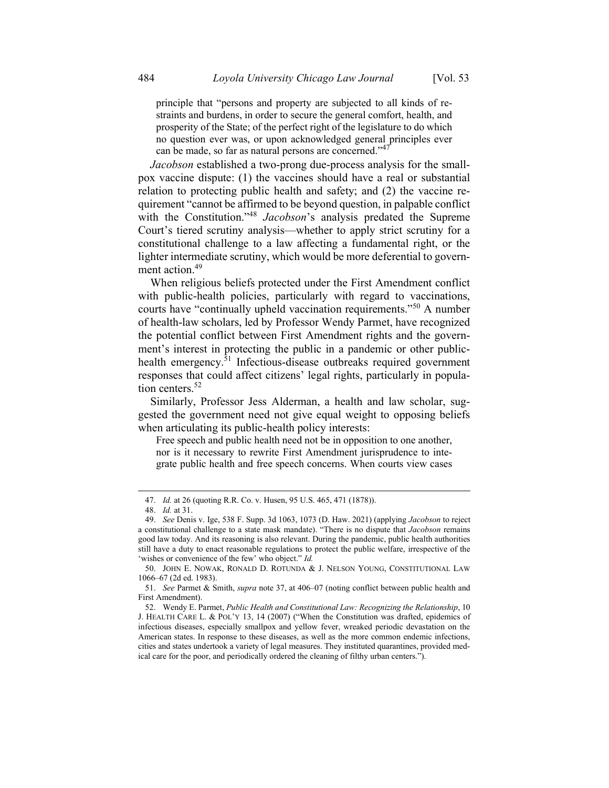principle that "persons and property are subjected to all kinds of restraints and burdens, in order to secure the general comfort, health, and prosperity of the State; of the perfect right of the legislature to do which no question ever was, or upon acknowledged general principles ever can be made, so far as natural persons are concerned."<sup>47</sup>

Jacobson established a two-prong due-process analysis for the smallpox vaccine dispute: (1) the vaccines should have a real or substantial relation to protecting public health and safety; and (2) the vaccine requirement "cannot be affirmed to be beyond question, in palpable conflict with the Constitution."<sup>48</sup> Jacobson's analysis predated the Supreme Court's tiered scrutiny analysis—whether to apply strict scrutiny for a constitutional challenge to a law affecting a fundamental right, or the lighter intermediate scrutiny, which would be more deferential to government action.<sup>49</sup>

When religious beliefs protected under the First Amendment conflict with public-health policies, particularly with regard to vaccinations, courts have "continually upheld vaccination requirements."<sup>50</sup> A number of health-law scholars, led by Professor Wendy Parmet, have recognized the potential conflict between First Amendment rights and the government's interest in protecting the public in a pandemic or other publichealth emergency. ${}^{51}$  Infectious-disease outbreaks required government responses that could affect citizens' legal rights, particularly in population centers.<sup>52</sup>

Similarly, Professor Jess Alderman, a health and law scholar, suggested the government need not give equal weight to opposing beliefs when articulating its public-health policy interests:

Free speech and public health need not be in opposition to one another, nor is it necessary to rewrite First Amendment jurisprudence to integrate public health and free speech concerns. When courts view cases

<sup>47.</sup> Id. at 26 (quoting R.R. Co. v. Husen, 95 U.S. 465, 471 (1878)).

<sup>48.</sup> Id. at 31.

<sup>49.</sup> See Denis v. Ige, 538 F. Supp. 3d 1063, 1073 (D. Haw. 2021) (applying Jacobson to reject a constitutional challenge to a state mask mandate). "There is no dispute that *Jacobson* remains good law today. And its reasoning is also relevant. During the pandemic, public health authorities still have a duty to enact reasonable regulations to protect the public welfare, irrespective of the 'wishes or convenience of the few' who object." Id.

<sup>50.</sup> JOHN E. NOWAK, RONALD D. ROTUNDA & J. NELSON YOUNG, CONSTITUTIONAL LAW 1066–67 (2d ed. 1983).

<sup>51.</sup> See Parmet & Smith, supra note 37, at 406–07 (noting conflict between public health and First Amendment).

<sup>52.</sup> Wendy E. Parmet, Public Health and Constitutional Law: Recognizing the Relationship, 10 J. HEALTH CARE L. & POL'Y 13, 14 (2007) ("When the Constitution was drafted, epidemics of infectious diseases, especially smallpox and yellow fever, wreaked periodic devastation on the American states. In response to these diseases, as well as the more common endemic infections, cities and states undertook a variety of legal measures. They instituted quarantines, provided medical care for the poor, and periodically ordered the cleaning of filthy urban centers.").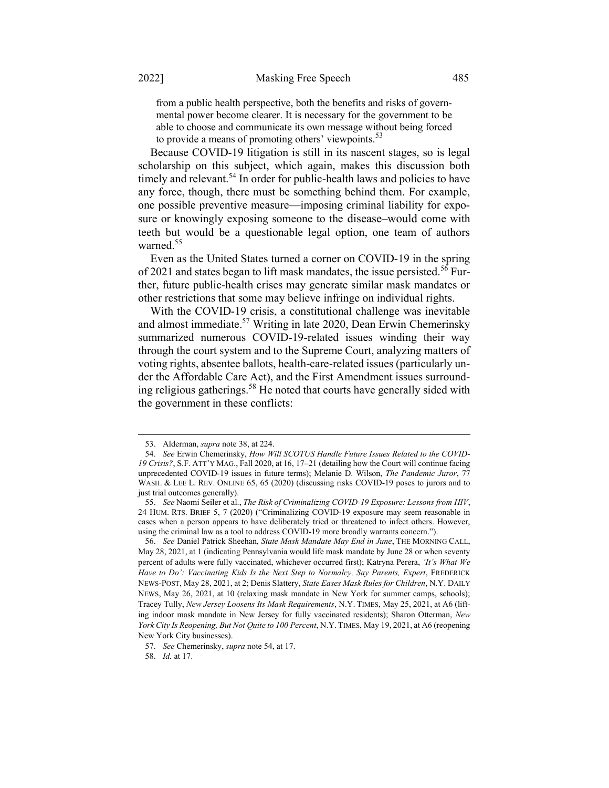from a public health perspective, both the benefits and risks of governmental power become clearer. It is necessary for the government to be able to choose and communicate its own message without being forced to provide a means of promoting others' viewpoints.<sup>33</sup>

Because COVID-19 litigation is still in its nascent stages, so is legal scholarship on this subject, which again, makes this discussion both timely and relevant.<sup>54</sup> In order for public-health laws and policies to have any force, though, there must be something behind them. For example, one possible preventive measure—imposing criminal liability for exposure or knowingly exposing someone to the disease–would come with teeth but would be a questionable legal option, one team of authors warned.<sup>55</sup>

Even as the United States turned a corner on COVID-19 in the spring of 2021 and states began to lift mask mandates, the issue persisted.<sup>56</sup> Further, future public-health crises may generate similar mask mandates or other restrictions that some may believe infringe on individual rights.

With the COVID-19 crisis, a constitutional challenge was inevitable and almost immediate.<sup>57</sup> Writing in late 2020, Dean Erwin Chemerinsky summarized numerous COVID-19-related issues winding their way through the court system and to the Supreme Court, analyzing matters of voting rights, absentee ballots, health-care-related issues (particularly under the Affordable Care Act), and the First Amendment issues surrounding religious gatherings.<sup>58</sup> He noted that courts have generally sided with the government in these conflicts:

<sup>53.</sup> Alderman, supra note 38, at 224.

<sup>54.</sup> See Erwin Chemerinsky, How Will SCOTUS Handle Future Issues Related to the COVID-19 Crisis?, S.F. ATT'Y MAG., Fall 2020, at 16, 17–21 (detailing how the Court will continue facing unprecedented COVID-19 issues in future terms); Melanie D. Wilson, The Pandemic Juror, 77 WASH. & LEE L. REV. ONLINE 65, 65 (2020) (discussing risks COVID-19 poses to jurors and to just trial outcomes generally).

<sup>55.</sup> See Naomi Seiler et al., The Risk of Criminalizing COVID-19 Exposure: Lessons from HIV, 24 HUM. RTS. BRIEF 5, 7 (2020) ("Criminalizing COVID-19 exposure may seem reasonable in cases when a person appears to have deliberately tried or threatened to infect others. However, using the criminal law as a tool to address COVID-19 more broadly warrants concern.").

<sup>56.</sup> See Daniel Patrick Sheehan, State Mask Mandate May End in June, THE MORNING CALL, May 28, 2021, at 1 (indicating Pennsylvania would life mask mandate by June 28 or when seventy percent of adults were fully vaccinated, whichever occurred first); Katryna Perera, 'It's What We Have to Do': Vaccinating Kids Is the Next Step to Normalcy, Say Parents, Expert, FREDERICK NEWS-POST, May 28, 2021, at 2; Denis Slattery, State Eases Mask Rules for Children, N.Y. DAILY NEWS, May 26, 2021, at 10 (relaxing mask mandate in New York for summer camps, schools); Tracey Tully, New Jersey Loosens Its Mask Requirements, N.Y. TIMES, May 25, 2021, at A6 (lifting indoor mask mandate in New Jersey for fully vaccinated residents); Sharon Otterman, New York City Is Reopening, But Not Quite to 100 Percent, N.Y. TIMES, May 19, 2021, at A6 (reopening New York City businesses).

<sup>57.</sup> See Chemerinsky, *supra* note 54, at 17.

<sup>58.</sup> Id. at 17.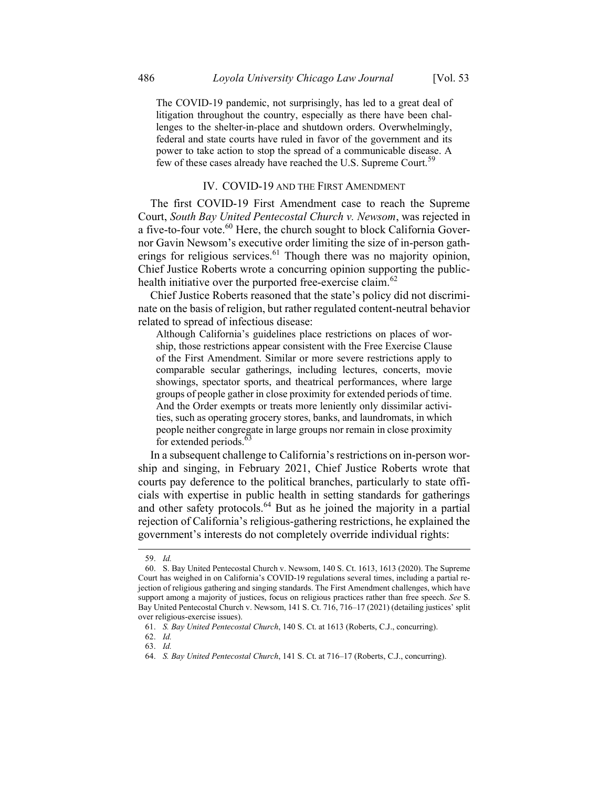The COVID-19 pandemic, not surprisingly, has led to a great deal of litigation throughout the country, especially as there have been challenges to the shelter-in-place and shutdown orders. Overwhelmingly, federal and state courts have ruled in favor of the government and its power to take action to stop the spread of a communicable disease. A few of these cases already have reached the U.S. Supreme Court.<sup>59</sup>

# IV. COVID-19 AND THE FIRST AMENDMENT

The first COVID-19 First Amendment case to reach the Supreme Court, South Bay United Pentecostal Church v. Newsom, was rejected in a five-to-four vote. $^{60}$  Here, the church sought to block California Governor Gavin Newsom's executive order limiting the size of in-person gatherings for religious services. $61$  Though there was no majority opinion, Chief Justice Roberts wrote a concurring opinion supporting the publichealth initiative over the purported free-exercise claim. $62$ 

Chief Justice Roberts reasoned that the state's policy did not discriminate on the basis of religion, but rather regulated content-neutral behavior related to spread of infectious disease:

Although California's guidelines place restrictions on places of worship, those restrictions appear consistent with the Free Exercise Clause of the First Amendment. Similar or more severe restrictions apply to comparable secular gatherings, including lectures, concerts, movie showings, spectator sports, and theatrical performances, where large groups of people gather in close proximity for extended periods of time. And the Order exempts or treats more leniently only dissimilar activities, such as operating grocery stores, banks, and laundromats, in which people neither congregate in large groups nor remain in close proximity for extended periods.<sup>6</sup>

In a subsequent challenge to California's restrictions on in-person worship and singing, in February 2021, Chief Justice Roberts wrote that courts pay deference to the political branches, particularly to state officials with expertise in public health in setting standards for gatherings and other safety protocols.<sup>64</sup> But as he joined the majority in a partial rejection of California's religious-gathering restrictions, he explained the government's interests do not completely override individual rights:

<sup>59.</sup> Id.

<sup>60.</sup> S. Bay United Pentecostal Church v. Newsom, 140 S. Ct. 1613, 1613 (2020). The Supreme Court has weighed in on California's COVID-19 regulations several times, including a partial rejection of religious gathering and singing standards. The First Amendment challenges, which have support among a majority of justices, focus on religious practices rather than free speech. See S. Bay United Pentecostal Church v. Newsom, 141 S. Ct. 716, 716–17 (2021) (detailing justices' split over religious-exercise issues).

<sup>61.</sup> S. Bay United Pentecostal Church, 140 S. Ct. at 1613 (Roberts, C.J., concurring).

<sup>62.</sup> Id.

<sup>63.</sup> Id.

<sup>64.</sup> S. Bay United Pentecostal Church, 141 S. Ct. at 716–17 (Roberts, C.J., concurring).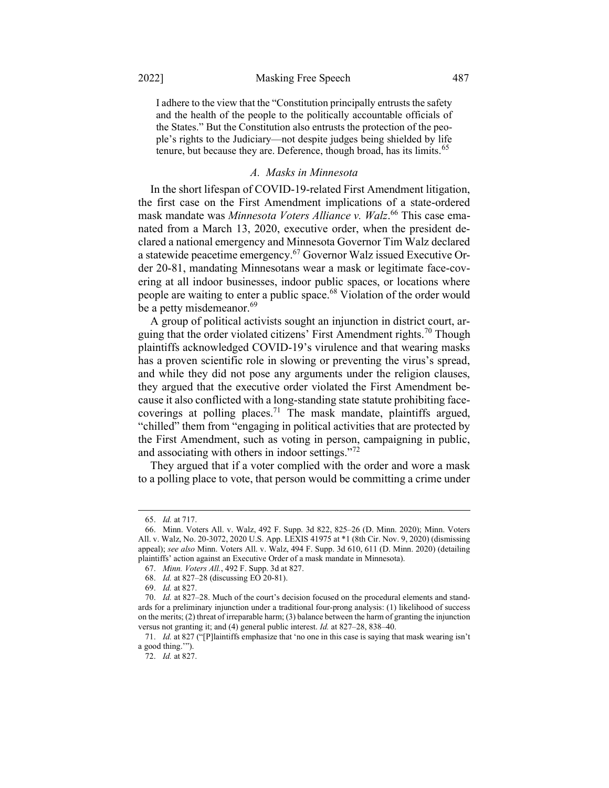I adhere to the view that the "Constitution principally entrusts the safety and the health of the people to the politically accountable officials of the States." But the Constitution also entrusts the protection of the people's rights to the Judiciary—not despite judges being shielded by life tenure, but because they are. Deference, though broad, has its limits.<sup>65</sup>

#### A. Masks in Minnesota

In the short lifespan of COVID-19-related First Amendment litigation, the first case on the First Amendment implications of a state-ordered mask mandate was Minnesota Voters Alliance v. Walz.<sup>66</sup> This case emanated from a March 13, 2020, executive order, when the president declared a national emergency and Minnesota Governor Tim Walz declared a statewide peacetime emergency.<sup>67</sup> Governor Walz issued Executive Order 20-81, mandating Minnesotans wear a mask or legitimate face-covering at all indoor businesses, indoor public spaces, or locations where people are waiting to enter a public space.<sup>68</sup> Violation of the order would be a petty misdemeanor.<sup>69</sup>

A group of political activists sought an injunction in district court, arguing that the order violated citizens' First Amendment rights.<sup>70</sup> Though plaintiffs acknowledged COVID-19's virulence and that wearing masks has a proven scientific role in slowing or preventing the virus's spread, and while they did not pose any arguments under the religion clauses, they argued that the executive order violated the First Amendment because it also conflicted with a long-standing state statute prohibiting facecoverings at polling places.<sup>71</sup> The mask mandate, plaintiffs argued, "chilled" them from "engaging in political activities that are protected by the First Amendment, such as voting in person, campaigning in public, and associating with others in indoor settings."<sup>72</sup>

They argued that if a voter complied with the order and wore a mask to a polling place to vote, that person would be committing a crime under

<sup>65.</sup> Id. at 717.

<sup>66.</sup> Minn. Voters All. v. Walz, 492 F. Supp. 3d 822, 825–26 (D. Minn. 2020); Minn. Voters All. v. Walz, No. 20-3072, 2020 U.S. App. LEXIS 41975 at \*1 (8th Cir. Nov. 9, 2020) (dismissing appeal); see also Minn. Voters All. v. Walz, 494 F. Supp. 3d 610, 611 (D. Minn. 2020) (detailing plaintiffs' action against an Executive Order of a mask mandate in Minnesota).

<sup>67.</sup> Minn. Voters All., 492 F. Supp. 3d at 827.

<sup>68.</sup> Id. at 827–28 (discussing EO 20-81).

<sup>69.</sup> Id. at 827.

<sup>70.</sup> Id. at 827–28. Much of the court's decision focused on the procedural elements and standards for a preliminary injunction under a traditional four-prong analysis: (1) likelihood of success on the merits; (2) threat of irreparable harm; (3) balance between the harm of granting the injunction versus not granting it; and (4) general public interest. Id. at 827–28, 838–40.

<sup>71.</sup> Id. at 827 ("[P]laintiffs emphasize that 'no one in this case is saying that mask wearing isn't a good thing.'").

<sup>72.</sup> Id. at 827.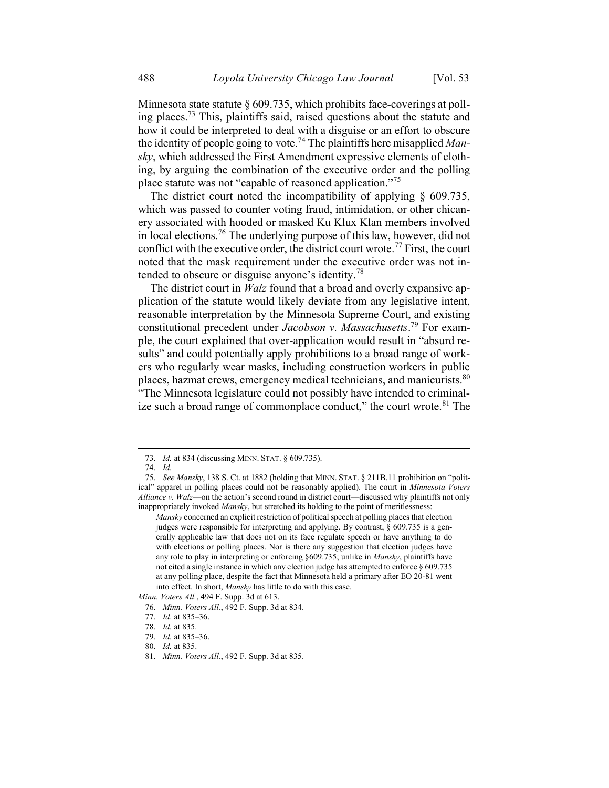Minnesota state statute § 609.735, which prohibits face-coverings at polling places.<sup>73</sup> This, plaintiffs said, raised questions about the statute and how it could be interpreted to deal with a disguise or an effort to obscure the identity of people going to vote.<sup>74</sup> The plaintiffs here misapplied Mansky, which addressed the First Amendment expressive elements of clothing, by arguing the combination of the executive order and the polling place statute was not "capable of reasoned application."<sup>75</sup>

The district court noted the incompatibility of applying § 609.735, which was passed to counter voting fraud, intimidation, or other chicanery associated with hooded or masked Ku Klux Klan members involved in local elections.<sup>76</sup> The underlying purpose of this law, however, did not conflict with the executive order, the district court wrote.<sup>77</sup> First, the court noted that the mask requirement under the executive order was not intended to obscure or disguise anyone's identity.<sup>78</sup>

The district court in *Walz* found that a broad and overly expansive application of the statute would likely deviate from any legislative intent, reasonable interpretation by the Minnesota Supreme Court, and existing constitutional precedent under Jacobson v. Massachusetts.<sup>79</sup> For example, the court explained that over-application would result in "absurd results" and could potentially apply prohibitions to a broad range of workers who regularly wear masks, including construction workers in public places, hazmat crews, emergency medical technicians, and manicurists.<sup>80</sup> "The Minnesota legislature could not possibly have intended to criminalize such a broad range of commonplace conduct," the court wrote. $81$  The

<sup>73.</sup> Id. at 834 (discussing MINN. STAT. § 609.735).

<sup>74.</sup> Id.

<sup>75.</sup> See Mansky, 138 S. Ct. at 1882 (holding that MINN. STAT. § 211B.11 prohibition on "political" apparel in polling places could not be reasonably applied). The court in Minnesota Voters Alliance v. Walz—on the action's second round in district court—discussed why plaintiffs not only inappropriately invoked *Mansky*, but stretched its holding to the point of meritlessness:

Mansky concerned an explicit restriction of political speech at polling places that election judges were responsible for interpreting and applying. By contrast, § 609.735 is a generally applicable law that does not on its face regulate speech or have anything to do with elections or polling places. Nor is there any suggestion that election judges have any role to play in interpreting or enforcing §609.735; unlike in Mansky, plaintiffs have not cited a single instance in which any election judge has attempted to enforce § 609.735 at any polling place, despite the fact that Minnesota held a primary after EO 20-81 went into effect. In short, Mansky has little to do with this case.

Minn. Voters All., 494 F. Supp. 3d at 613.

<sup>76.</sup> Minn. Voters All., 492 F. Supp. 3d at 834.

<sup>77.</sup> Id. at 835–36.

<sup>78.</sup> Id. at 835.

<sup>79.</sup> Id. at 835–36.

<sup>80.</sup> Id. at 835.

<sup>81.</sup> Minn. Voters All., 492 F. Supp. 3d at 835.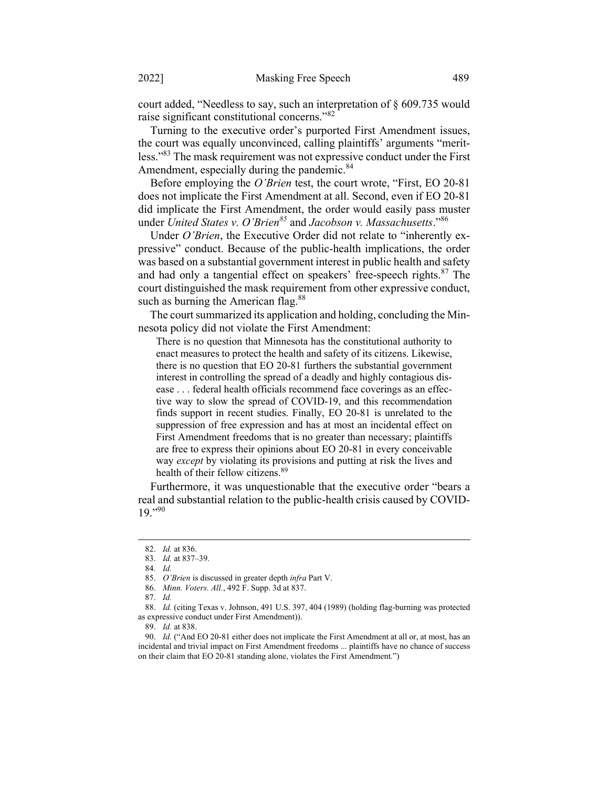court added, "Needless to say, such an interpretation of § 609.735 would raise significant constitutional concerns."<sup>82</sup>

Turning to the executive order's purported First Amendment issues, the court was equally unconvinced, calling plaintiffs' arguments "meritless."<sup>83</sup> The mask requirement was not expressive conduct under the First Amendment, especially during the pandemic.<sup>84</sup>

Before employing the *O'Brien* test, the court wrote, "First, EO 20-81" does not implicate the First Amendment at all. Second, even if EO 20-81 did implicate the First Amendment, the order would easily pass muster under United States v. O'Brien<sup>85</sup> and Jacobson v. Massachusetts."<sup>86</sup>

Under O'Brien, the Executive Order did not relate to "inherently expressive" conduct. Because of the public-health implications, the order was based on a substantial government interest in public health and safety and had only a tangential effect on speakers' free-speech rights.<sup>87</sup> The court distinguished the mask requirement from other expressive conduct, such as burning the American flag. $88$ 

The court summarized its application and holding, concluding the Minnesota policy did not violate the First Amendment:

There is no question that Minnesota has the constitutional authority to enact measures to protect the health and safety of its citizens. Likewise, there is no question that EO 20-81 furthers the substantial government interest in controlling the spread of a deadly and highly contagious disease . . . federal health officials recommend face coverings as an effective way to slow the spread of COVID-19, and this recommendation finds support in recent studies. Finally, EO 20-81 is unrelated to the suppression of free expression and has at most an incidental effect on First Amendment freedoms that is no greater than necessary; plaintiffs are free to express their opinions about EO 20-81 in every conceivable way except by violating its provisions and putting at risk the lives and health of their fellow citizens.<sup>89</sup>

Furthermore, it was unquestionable that the executive order "bears a real and substantial relation to the public-health crisis caused by COVID- $19.$ "90

86. Minn. Voters. All., 492 F. Supp. 3d at 837.

87. Id.

<sup>82.</sup> Id. at 836.

<sup>83.</sup> Id. at 837–39.

<sup>84.</sup> Id.

<sup>85.</sup> O'Brien is discussed in greater depth infra Part V.

<sup>88.</sup> Id. (citing Texas v. Johnson, 491 U.S. 397, 404 (1989) (holding flag-burning was protected as expressive conduct under First Amendment)).

<sup>89.</sup> Id. at 838.

<sup>90.</sup> Id. ("And EO 20-81 either does not implicate the First Amendment at all or, at most, has an incidental and trivial impact on First Amendment freedoms ... plaintiffs have no chance of success on their claim that EO 20-81 standing alone, violates the First Amendment.")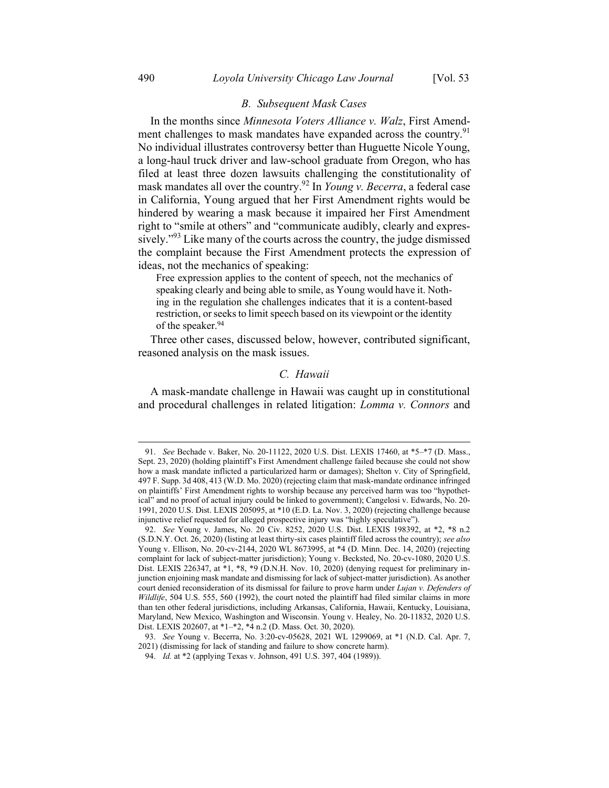# B. Subsequent Mask Cases

In the months since Minnesota Voters Alliance v. Walz, First Amendment challenges to mask mandates have expanded across the country.<sup>91</sup> No individual illustrates controversy better than Huguette Nicole Young, a long-haul truck driver and law-school graduate from Oregon, who has filed at least three dozen lawsuits challenging the constitutionality of mask mandates all over the country.<sup>92</sup> In *Young v. Becerra*, a federal case in California, Young argued that her First Amendment rights would be hindered by wearing a mask because it impaired her First Amendment right to "smile at others" and "communicate audibly, clearly and expressively."<sup>93</sup> Like many of the courts across the country, the judge dismissed the complaint because the First Amendment protects the expression of ideas, not the mechanics of speaking:

Free expression applies to the content of speech, not the mechanics of speaking clearly and being able to smile, as Young would have it. Nothing in the regulation she challenges indicates that it is a content-based restriction, or seeks to limit speech based on its viewpoint or the identity of the speaker.<sup>94</sup>

Three other cases, discussed below, however, contributed significant, reasoned analysis on the mask issues.

# C. Hawaii

A mask-mandate challenge in Hawaii was caught up in constitutional and procedural challenges in related litigation: Lomma v. Connors and

<sup>91.</sup> See Bechade v. Baker, No. 20-11122, 2020 U.S. Dist. LEXIS 17460, at \*5–\*7 (D. Mass., Sept. 23, 2020) (holding plaintiff's First Amendment challenge failed because she could not show how a mask mandate inflicted a particularized harm or damages); Shelton v. City of Springfield, 497 F. Supp. 3d 408, 413 (W.D. Mo. 2020) (rejecting claim that mask-mandate ordinance infringed on plaintiffs' First Amendment rights to worship because any perceived harm was too "hypothetical" and no proof of actual injury could be linked to government); Cangelosi v. Edwards, No. 20- 1991, 2020 U.S. Dist. LEXIS 205095, at \*10 (E.D. La. Nov. 3, 2020) (rejecting challenge because injunctive relief requested for alleged prospective injury was "highly speculative").

<sup>92.</sup> See Young v. James, No. 20 Civ. 8252, 2020 U.S. Dist. LEXIS 198392, at \*2, \*8 n.2 (S.D.N.Y. Oct. 26, 2020) (listing at least thirty-six cases plaintiff filed across the country); see also Young v. Ellison, No. 20-cv-2144, 2020 WL 8673995, at \*4 (D. Minn. Dec. 14, 2020) (rejecting complaint for lack of subject-matter jurisdiction); Young v. Becksted, No. 20-cv-1080, 2020 U.S. Dist. LEXIS 226347, at \*1, \*8, \*9 (D.N.H. Nov. 10, 2020) (denying request for preliminary injunction enjoining mask mandate and dismissing for lack of subject-matter jurisdiction). As another court denied reconsideration of its dismissal for failure to prove harm under Lujan v. Defenders of Wildlife, 504 U.S. 555, 560 (1992), the court noted the plaintiff had filed similar claims in more than ten other federal jurisdictions, including Arkansas, California, Hawaii, Kentucky, Louisiana, Maryland, New Mexico, Washington and Wisconsin. Young v. Healey, No. 20-11832, 2020 U.S. Dist. LEXIS 202607, at \*1–\*2, \*4 n.2 (D. Mass. Oct. 30, 2020).

<sup>93.</sup> See Young v. Becerra, No. 3:20-cv-05628, 2021 WL 1299069, at \*1 (N.D. Cal. Apr. 7, 2021) (dismissing for lack of standing and failure to show concrete harm).

<sup>94.</sup> Id. at \*2 (applying Texas v. Johnson, 491 U.S. 397, 404 (1989)).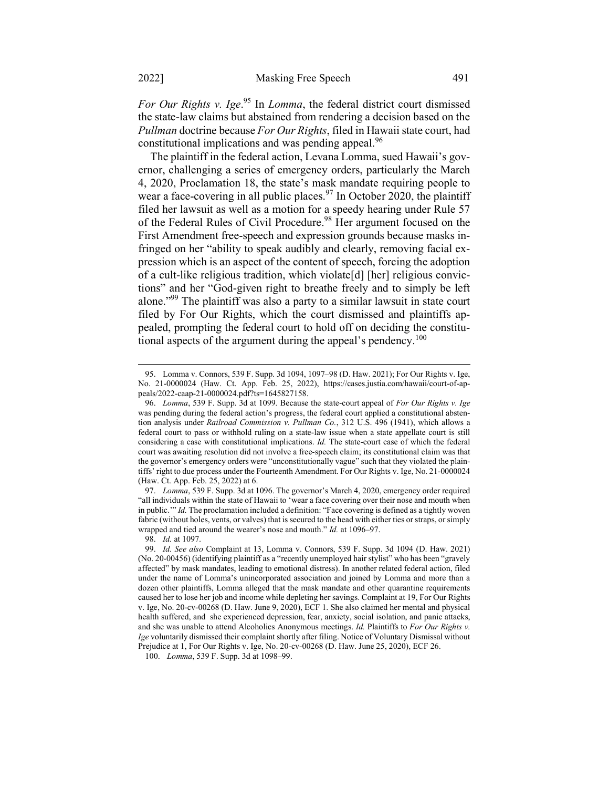For Our Rights v. Ige.<sup>95</sup> In Lomma, the federal district court dismissed the state-law claims but abstained from rendering a decision based on the Pullman doctrine because For Our Rights, filed in Hawaii state court, had constitutional implications and was pending appeal.<sup>96</sup>

The plaintiff in the federal action, Levana Lomma, sued Hawaii's governor, challenging a series of emergency orders, particularly the March 4, 2020, Proclamation 18, the state's mask mandate requiring people to wear a face-covering in all public places.<sup>97</sup> In October 2020, the plaintiff filed her lawsuit as well as a motion for a speedy hearing under Rule 57 of the Federal Rules of Civil Procedure.<sup>98</sup> Her argument focused on the First Amendment free-speech and expression grounds because masks infringed on her "ability to speak audibly and clearly, removing facial expression which is an aspect of the content of speech, forcing the adoption of a cult-like religious tradition, which violate[d] [her] religious convictions" and her "God-given right to breathe freely and to simply be left alone."<sup>99</sup> The plaintiff was also a party to a similar lawsuit in state court filed by For Our Rights, which the court dismissed and plaintiffs appealed, prompting the federal court to hold off on deciding the constitutional aspects of the argument during the appeal's pendency.<sup>100</sup>

<sup>95.</sup> Lomma v. Connors, 539 F. Supp. 3d 1094, 1097–98 (D. Haw. 2021); For Our Rights v. Ige, No. 21-0000024 (Haw. Ct. App. Feb. 25, 2022), https://cases.justia.com/hawaii/court-of-appeals/2022-caap-21-0000024.pdf?ts=1645827158.

<sup>96.</sup> Lomma, 539 F. Supp. 3d at 1099. Because the state-court appeal of For Our Rights v. Ige was pending during the federal action's progress, the federal court applied a constitutional abstention analysis under Railroad Commission v. Pullman Co., 312 U.S. 496 (1941), which allows a federal court to pass or withhold ruling on a state-law issue when a state appellate court is still considering a case with constitutional implications. Id. The state-court case of which the federal court was awaiting resolution did not involve a free-speech claim; its constitutional claim was that the governor's emergency orders were "unconstitutionally vague" such that they violated the plaintiffs' right to due process under the Fourteenth Amendment. For Our Rights v. Ige, No. 21-0000024 (Haw. Ct. App. Feb. 25, 2022) at 6.

<sup>97.</sup> Lomma, 539 F. Supp. 3d at 1096. The governor's March 4, 2020, emergency order required "all individuals within the state of Hawaii to 'wear a face covering over their nose and mouth when in public.'" Id. The proclamation included a definition: "Face covering is defined as a tightly woven fabric (without holes, vents, or valves) that is secured to the head with either ties or straps, or simply wrapped and tied around the wearer's nose and mouth." Id. at 1096–97.

<sup>98.</sup> Id. at 1097.

<sup>99.</sup> Id. See also Complaint at 13, Lomma v. Connors, 539 F. Supp. 3d 1094 (D. Haw. 2021) (No. 20-00456) (identifying plaintiff as a "recently unemployed hair stylist" who has been "gravely affected" by mask mandates, leading to emotional distress). In another related federal action, filed under the name of Lomma's unincorporated association and joined by Lomma and more than a dozen other plaintiffs, Lomma alleged that the mask mandate and other quarantine requirements caused her to lose her job and income while depleting her savings. Complaint at 19, For Our Rights v. Ige, No. 20-cv-00268 (D. Haw. June 9, 2020), ECF 1. She also claimed her mental and physical health suffered, and she experienced depression, fear, anxiety, social isolation, and panic attacks, and she was unable to attend Alcoholics Anonymous meetings. Id. Plaintiffs to For Our Rights  $v$ . Ige voluntarily dismissed their complaint shortly after filing. Notice of Voluntary Dismissal without Prejudice at 1, For Our Rights v. Ige, No. 20-cv-00268 (D. Haw. June 25, 2020), ECF 26.

<sup>100.</sup> Lomma, 539 F. Supp. 3d at 1098–99.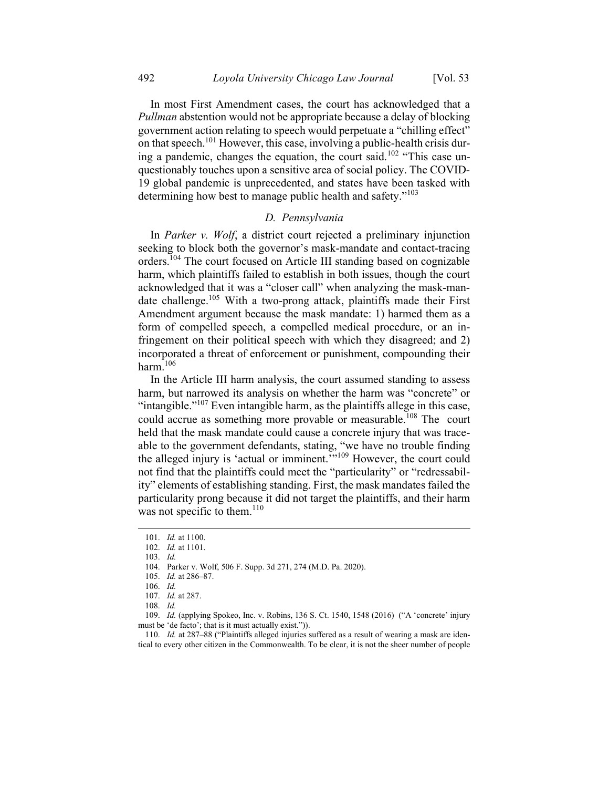In most First Amendment cases, the court has acknowledged that a Pullman abstention would not be appropriate because a delay of blocking government action relating to speech would perpetuate a "chilling effect" on that speech.<sup>101</sup> However, this case, involving a public-health crisis during a pandemic, changes the equation, the court said.<sup>102</sup> "This case unquestionably touches upon a sensitive area of social policy. The COVID-19 global pandemic is unprecedented, and states have been tasked with determining how best to manage public health and safety."<sup>103</sup>

#### D. Pennsylvania

In Parker v. Wolf, a district court rejected a preliminary injunction seeking to block both the governor's mask-mandate and contact-tracing orders.<sup>104</sup> The court focused on Article III standing based on cognizable harm, which plaintiffs failed to establish in both issues, though the court acknowledged that it was a "closer call" when analyzing the mask-mandate challenge.<sup>105</sup> With a two-prong attack, plaintiffs made their First Amendment argument because the mask mandate: 1) harmed them as a form of compelled speech, a compelled medical procedure, or an infringement on their political speech with which they disagreed; and 2) incorporated a threat of enforcement or punishment, compounding their harm.<sup>106</sup>

In the Article III harm analysis, the court assumed standing to assess harm, but narrowed its analysis on whether the harm was "concrete" or "intangible."<sup>107</sup> Even intangible harm, as the plaintiffs allege in this case, could accrue as something more provable or measurable.<sup>108</sup> The court held that the mask mandate could cause a concrete injury that was traceable to the government defendants, stating, "we have no trouble finding the alleged injury is 'actual or imminent.'"<sup>109</sup> However, the court could not find that the plaintiffs could meet the "particularity" or "redressability" elements of establishing standing. First, the mask mandates failed the particularity prong because it did not target the plaintiffs, and their harm was not specific to them. $110$ 

 $103.$  Id.

110. Id. at 287–88 ("Plaintiffs alleged injuries suffered as a result of wearing a mask are identical to every other citizen in the Commonwealth. To be clear, it is not the sheer number of people

<sup>101.</sup> Id. at 1100.

<sup>102.</sup> Id. at 1101.

<sup>104.</sup> Parker v. Wolf, 506 F. Supp. 3d 271, 274 (M.D. Pa. 2020).

<sup>105.</sup> Id. at 286–87.

<sup>106.</sup> Id.

<sup>107.</sup> Id. at 287.

<sup>108.</sup> Id.

<sup>109.</sup> Id. (applying Spokeo, Inc. v. Robins, 136 S. Ct. 1540, 1548 (2016) ("A 'concrete' injury must be 'de facto'; that is it must actually exist.")).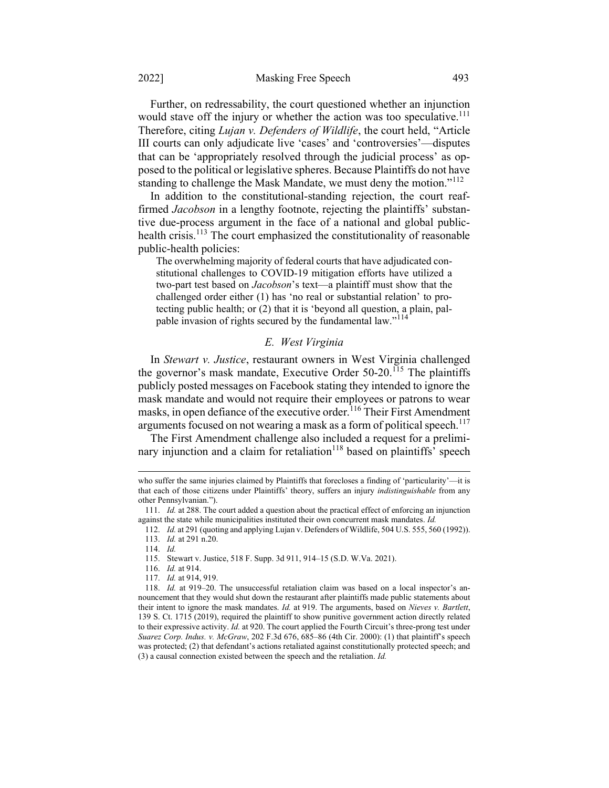Further, on redressability, the court questioned whether an injunction would stave off the injury or whether the action was too speculative.<sup>111</sup> Therefore, citing *Lujan v. Defenders of Wildlife*, the court held, "Article III courts can only adjudicate live 'cases' and 'controversies'—disputes that can be 'appropriately resolved through the judicial process' as opposed to the political or legislative spheres. Because Plaintiffs do not have standing to challenge the Mask Mandate, we must deny the motion."<sup>112</sup>

In addition to the constitutional-standing rejection, the court reaffirmed *Jacobson* in a lengthy footnote, rejecting the plaintiffs' substantive due-process argument in the face of a national and global publichealth crisis.<sup>113</sup> The court emphasized the constitutionality of reasonable public-health policies:

The overwhelming majority of federal courts that have adjudicated constitutional challenges to COVID-19 mitigation efforts have utilized a two-part test based on *Jacobson*'s text—a plaintiff must show that the challenged order either (1) has 'no real or substantial relation' to protecting public health; or (2) that it is 'beyond all question, a plain, palpable invasion of rights secured by the fundamental law."<sup>114</sup>

#### E. West Virginia

In Stewart v. Justice, restaurant owners in West Virginia challenged the governor's mask mandate, Executive Order  $50-20$ .<sup>115</sup> The plaintiffs publicly posted messages on Facebook stating they intended to ignore the mask mandate and would not require their employees or patrons to wear masks, in open defiance of the executive order.<sup>116</sup> Their First Amendment arguments focused on not wearing a mask as a form of political speech.<sup>117</sup>

The First Amendment challenge also included a request for a preliminary injunction and a claim for retaliation<sup>118</sup> based on plaintiffs<sup> $\delta$ </sup> speech

who suffer the same injuries claimed by Plaintiffs that forecloses a finding of 'particularity'—it is that each of those citizens under Plaintiffs' theory, suffers an injury *indistinguishable* from any other Pennsylvanian.").

<sup>111.</sup> Id. at 288. The court added a question about the practical effect of enforcing an injunction against the state while municipalities instituted their own concurrent mask mandates. Id.

<sup>112.</sup> Id. at 291 (quoting and applying Lujan v. Defenders of Wildlife, 504 U.S. 555, 560 (1992)).

<sup>113.</sup> Id. at 291 n.20.

<sup>114.</sup> Id.

<sup>115.</sup> Stewart v. Justice, 518 F. Supp. 3d 911, 914–15 (S.D. W.Va. 2021).

<sup>116.</sup> Id. at 914.

<sup>117.</sup> Id. at 914, 919.

<sup>118.</sup> Id. at 919–20. The unsuccessful retaliation claim was based on a local inspector's announcement that they would shut down the restaurant after plaintiffs made public statements about their intent to ignore the mask mandates. Id. at 919. The arguments, based on Nieves v. Bartlett, 139 S. Ct. 1715 (2019), required the plaintiff to show punitive government action directly related to their expressive activity. Id. at 920. The court applied the Fourth Circuit's three-prong test under Suarez Corp. Indus. v. McGraw, 202 F.3d 676, 685–86 (4th Cir. 2000): (1) that plaintiff's speech was protected; (2) that defendant's actions retaliated against constitutionally protected speech; and (3) a causal connection existed between the speech and the retaliation. Id.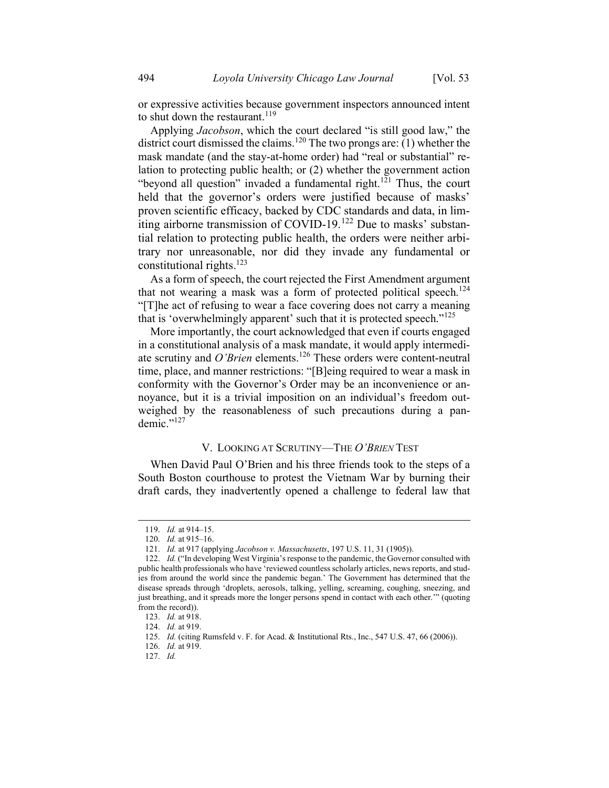or expressive activities because government inspectors announced intent to shut down the restaurant.<sup>119</sup>

Applying Jacobson, which the court declared "is still good law," the district court dismissed the claims.<sup>120</sup> The two prongs are: (1) whether the mask mandate (and the stay-at-home order) had "real or substantial" relation to protecting public health; or (2) whether the government action "beyond all question" invaded a fundamental right.<sup>121</sup> Thus, the court held that the governor's orders were justified because of masks' proven scientific efficacy, backed by CDC standards and data, in limiting airborne transmission of COVID-19.<sup>122</sup> Due to masks' substantial relation to protecting public health, the orders were neither arbitrary nor unreasonable, nor did they invade any fundamental or constitutional rights. 123

As a form of speech, the court rejected the First Amendment argument that not wearing a mask was a form of protected political speech.<sup>124</sup> "[T]he act of refusing to wear a face covering does not carry a meaning that is 'overwhelmingly apparent' such that it is protected speech."<sup>125</sup>

More importantly, the court acknowledged that even if courts engaged in a constitutional analysis of a mask mandate, it would apply intermediate scrutiny and O'Brien elements.<sup>126</sup> These orders were content-neutral time, place, and manner restrictions: "[B]eing required to wear a mask in conformity with the Governor's Order may be an inconvenience or annoyance, but it is a trivial imposition on an individual's freedom outweighed by the reasonableness of such precautions during a pan $d$ emic." $^{127}$ 

# V. LOOKING AT SCRUTINY—THE O'BRIEN TEST

When David Paul O'Brien and his three friends took to the steps of a South Boston courthouse to protest the Vietnam War by burning their draft cards, they inadvertently opened a challenge to federal law that

<sup>119.</sup> Id. at 914–15.

<sup>120.</sup> Id. at 915–16.

<sup>121.</sup> Id. at 917 (applying Jacobson v. Massachusetts, 197 U.S. 11, 31 (1905)).

<sup>122.</sup> Id. ("In developing West Virginia's response to the pandemic, the Governor consulted with public health professionals who have 'reviewed countless scholarly articles, news reports, and studies from around the world since the pandemic began.' The Government has determined that the disease spreads through 'droplets, aerosols, talking, yelling, screaming, coughing, sneezing, and just breathing, and it spreads more the longer persons spend in contact with each other.'" (quoting from the record)).

<sup>123.</sup> Id. at 918.

<sup>124.</sup> Id. at 919.

<sup>125.</sup> Id. (citing Rumsfeld v. F. for Acad. & Institutional Rts., Inc., 547 U.S. 47, 66 (2006)).

<sup>126.</sup> Id. at 919.

<sup>127.</sup> Id.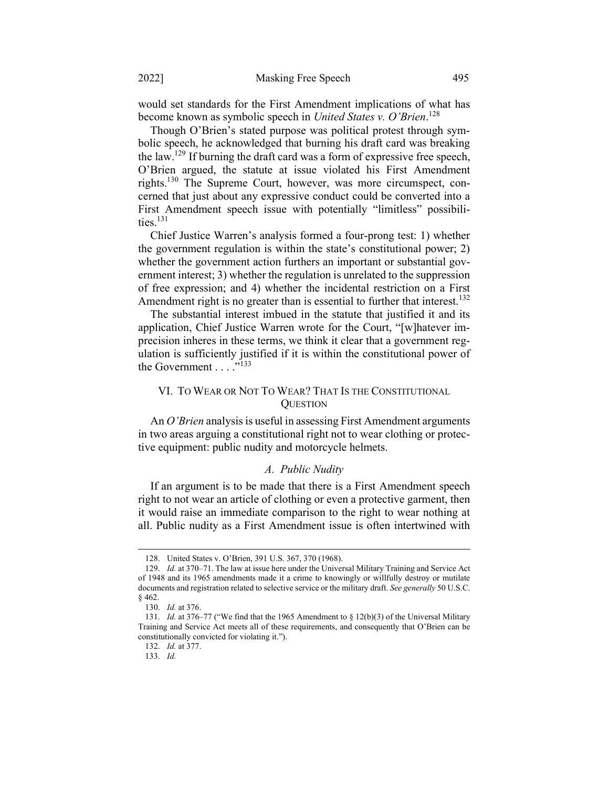would set standards for the First Amendment implications of what has become known as symbolic speech in United States v. O'Brien.<sup>128</sup>

Though O'Brien's stated purpose was political protest through symbolic speech, he acknowledged that burning his draft card was breaking the law.<sup>129</sup> If burning the draft card was a form of expressive free speech, O'Brien argued, the statute at issue violated his First Amendment rights.<sup>130</sup> The Supreme Court, however, was more circumspect, concerned that just about any expressive conduct could be converted into a First Amendment speech issue with potentially "limitless" possibilities. $131$ 

Chief Justice Warren's analysis formed a four-prong test: 1) whether the government regulation is within the state's constitutional power; 2) whether the government action furthers an important or substantial government interest; 3) whether the regulation is unrelated to the suppression of free expression; and 4) whether the incidental restriction on a First Amendment right is no greater than is essential to further that interest.<sup>132</sup>

The substantial interest imbued in the statute that justified it and its application, Chief Justice Warren wrote for the Court, "[w]hatever imprecision inheres in these terms, we think it clear that a government regulation is sufficiently justified if it is within the constitutional power of the Government  $\ldots$ <sup>"133</sup>

# VI. TO WEAR OR NOT TO WEAR? THAT IS THE CONSTITUTIONAL **QUESTION**

An O'Brien analysis is useful in assessing First Amendment arguments in two areas arguing a constitutional right not to wear clothing or protective equipment: public nudity and motorcycle helmets.

#### A. Public Nudity

If an argument is to be made that there is a First Amendment speech right to not wear an article of clothing or even a protective garment, then it would raise an immediate comparison to the right to wear nothing at all. Public nudity as a First Amendment issue is often intertwined with

<sup>128.</sup> United States v. O'Brien, 391 U.S. 367, 370 (1968).

<sup>129.</sup> Id. at 370–71. The law at issue here under the Universal Military Training and Service Act of 1948 and its 1965 amendments made it a crime to knowingly or willfully destroy or mutilate documents and registration related to selective service or the military draft. See generally 50 U.S.C. § 462.

<sup>130.</sup> Id. at 376.

<sup>131.</sup> *Id.* at 376–77 ("We find that the 1965 Amendment to  $\S$  12(b)(3) of the Universal Military Training and Service Act meets all of these requirements, and consequently that O'Brien can be constitutionally convicted for violating it.").

<sup>132.</sup> Id. at 377.

<sup>133.</sup> Id.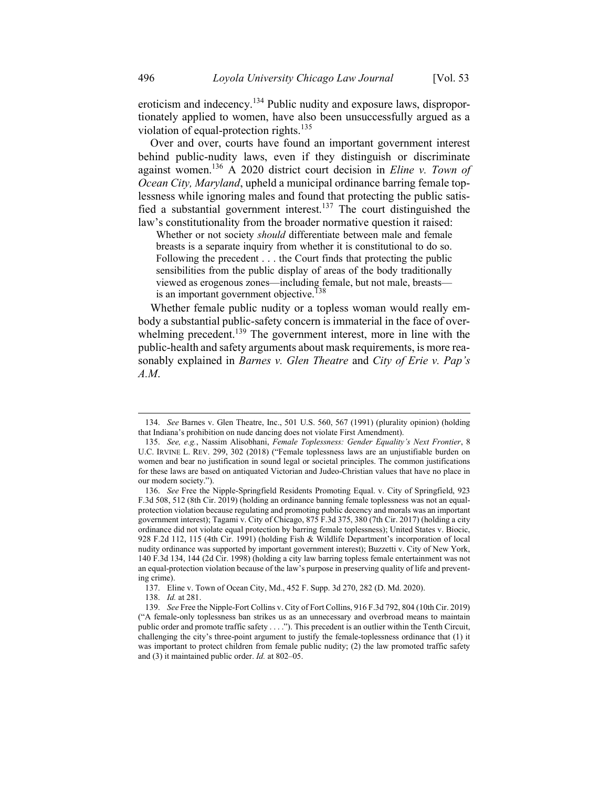eroticism and indecency.<sup>134</sup> Public nudity and exposure laws, disproportionately applied to women, have also been unsuccessfully argued as a violation of equal-protection rights.<sup>135</sup>

Over and over, courts have found an important government interest behind public-nudity laws, even if they distinguish or discriminate against women.<sup>136</sup> A 2020 district court decision in *Eline v. Town of* Ocean City, Maryland, upheld a municipal ordinance barring female toplessness while ignoring males and found that protecting the public satisfied a substantial government interest.<sup>137</sup> The court distinguished the law's constitutionality from the broader normative question it raised:

Whether or not society should differentiate between male and female breasts is a separate inquiry from whether it is constitutional to do so. Following the precedent . . . the Court finds that protecting the public sensibilities from the public display of areas of the body traditionally viewed as erogenous zones—including female, but not male, breasts is an important government objective.<sup>138</sup>

Whether female public nudity or a topless woman would really embody a substantial public-safety concern is immaterial in the face of overwhelming precedent.<sup>139</sup> The government interest, more in line with the public-health and safety arguments about mask requirements, is more reasonably explained in Barnes v. Glen Theatre and City of Erie v. Pap's A.M.

<sup>134.</sup> See Barnes v. Glen Theatre, Inc., 501 U.S. 560, 567 (1991) (plurality opinion) (holding that Indiana's prohibition on nude dancing does not violate First Amendment).

<sup>135.</sup> See, e.g., Nassim Alisobhani, Female Toplessness: Gender Equality's Next Frontier, 8 U.C. IRVINE L. REV. 299, 302 (2018) ("Female toplessness laws are an unjustifiable burden on women and bear no justification in sound legal or societal principles. The common justifications for these laws are based on antiquated Victorian and Judeo-Christian values that have no place in our modern society.").

<sup>136.</sup> See Free the Nipple-Springfield Residents Promoting Equal. v. City of Springfield, 923 F.3d 508, 512 (8th Cir. 2019) (holding an ordinance banning female toplessness was not an equalprotection violation because regulating and promoting public decency and morals was an important government interest); Tagami v. City of Chicago, 875 F.3d 375, 380 (7th Cir. 2017) (holding a city ordinance did not violate equal protection by barring female toplessness); United States v. Biocic, 928 F.2d 112, 115 (4th Cir. 1991) (holding Fish & Wildlife Department's incorporation of local nudity ordinance was supported by important government interest); Buzzetti v. City of New York, 140 F.3d 134, 144 (2d Cir. 1998) (holding a city law barring topless female entertainment was not an equal-protection violation because of the law's purpose in preserving quality of life and preventing crime).

<sup>137.</sup> Eline v. Town of Ocean City, Md., 452 F. Supp. 3d 270, 282 (D. Md. 2020).

<sup>138.</sup> Id. at 281.

<sup>139.</sup> See Free the Nipple-Fort Collins v. City of Fort Collins, 916 F.3d 792, 804 (10th Cir. 2019) ("A female-only toplessness ban strikes us as an unnecessary and overbroad means to maintain public order and promote traffic safety . . . ."). This precedent is an outlier within the Tenth Circuit, challenging the city's three-point argument to justify the female-toplessness ordinance that (1) it was important to protect children from female public nudity; (2) the law promoted traffic safety and (3) it maintained public order. Id. at 802–05.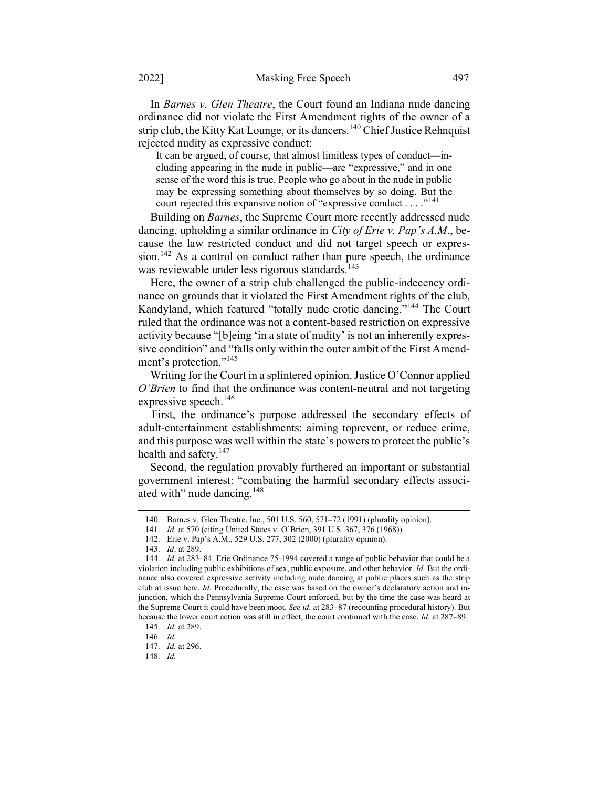In Barnes v. Glen Theatre, the Court found an Indiana nude dancing ordinance did not violate the First Amendment rights of the owner of a strip club, the Kitty Kat Lounge, or its dancers.<sup>140</sup> Chief Justice Rehnquist rejected nudity as expressive conduct:

It can be argued, of course, that almost limitless types of conduct—including appearing in the nude in public—are "expressive," and in one sense of the word this is true. People who go about in the nude in public may be expressing something about themselves by so doing. But the court rejected this expansive notion of "expressive conduct . . . . "<sup>141</sup>

Building on *Barnes*, the Supreme Court more recently addressed nude dancing, upholding a similar ordinance in City of Erie v. Pap's A.M., because the law restricted conduct and did not target speech or expres $sion.<sup>142</sup>$  As a control on conduct rather than pure speech, the ordinance was reviewable under less rigorous standards.<sup>143</sup>

Here, the owner of a strip club challenged the public-indecency ordinance on grounds that it violated the First Amendment rights of the club, Kandyland, which featured "totally nude erotic dancing."<sup>144</sup> The Court ruled that the ordinance was not a content-based restriction on expressive activity because "[b]eing 'in a state of nudity' is not an inherently expressive condition" and "falls only within the outer ambit of the First Amendment's protection."<sup>145</sup>

Writing for the Court in a splintered opinion, Justice O'Connor applied O'Brien to find that the ordinance was content-neutral and not targeting expressive speech.<sup>146</sup>

First, the ordinance's purpose addressed the secondary effects of adult-entertainment establishments: aiming toprevent, or reduce crime, and this purpose was well within the state's powers to protect the public's health and safety. $147$ 

Second, the regulation provably furthered an important or substantial government interest: "combating the harmful secondary effects associated with" nude dancing.<sup>148</sup>

<sup>140.</sup> Barnes v. Glen Theatre, Inc., 501 U.S. 560, 571–72 (1991) (plurality opinion).

<sup>141.</sup> Id. at 570 (citing United States v. O'Brien, 391 U.S. 367, 376 (1968)).

<sup>142.</sup> Erie v. Pap's A.M., 529 U.S. 277, 302 (2000) (plurality opinion).

<sup>143.</sup> Id. at 289.

<sup>144.</sup> Id. at 283–84. Erie Ordinance 75-1994 covered a range of public behavior that could be a violation including public exhibitions of sex, public exposure, and other behavior. Id. But the ordinance also covered expressive activity including nude dancing at public places such as the strip club at issue here. Id. Procedurally, the case was based on the owner's declaratory action and injunction, which the Pennsylvania Supreme Court enforced, but by the time the case was heard at the Supreme Court it could have been moot. See id. at 283-87 (recounting procedural history). But because the lower court action was still in effect, the court continued with the case. Id. at 287–89.

<sup>145.</sup> Id. at 289.

<sup>146.</sup> Id.

<sup>147.</sup> Id. at 296.

<sup>148.</sup> Id.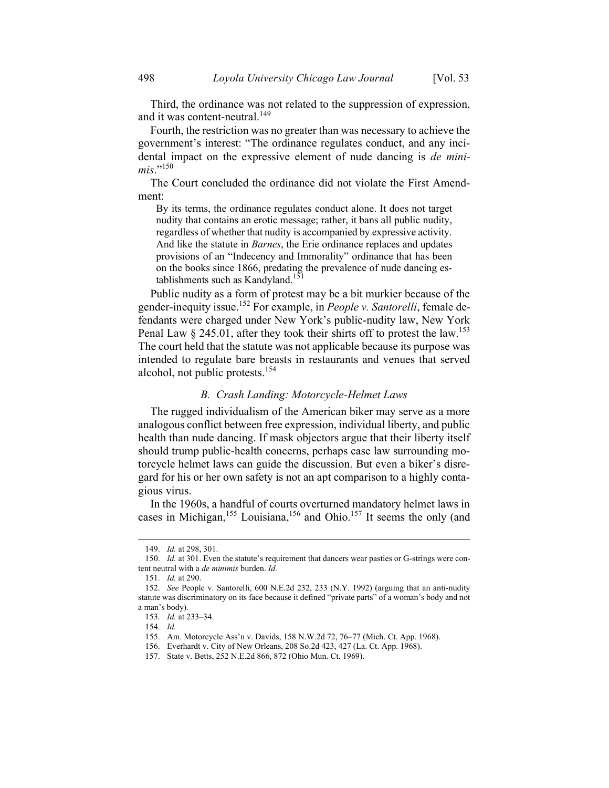Third, the ordinance was not related to the suppression of expression, and it was content-neutral.<sup>149</sup>

Fourth, the restriction was no greater than was necessary to achieve the government's interest: "The ordinance regulates conduct, and any incidental impact on the expressive element of nude dancing is *de mini*mis." $^{150}$ 

The Court concluded the ordinance did not violate the First Amendment:

By its terms, the ordinance regulates conduct alone. It does not target nudity that contains an erotic message; rather, it bans all public nudity, regardless of whether that nudity is accompanied by expressive activity. And like the statute in *Barnes*, the Erie ordinance replaces and updates provisions of an "Indecency and Immorality" ordinance that has been on the books since 1866, predating the prevalence of nude dancing establishments such as Kandyland.<sup>151</sup>

Public nudity as a form of protest may be a bit murkier because of the gender-inequity issue.<sup>152</sup> For example, in *People v. Santorelli*, female defendants were charged under New York's public-nudity law, New York Penal Law  $\S 245.01$ , after they took their shirts off to protest the law.<sup>153</sup> The court held that the statute was not applicable because its purpose was intended to regulate bare breasts in restaurants and venues that served alcohol, not public protests.<sup>154</sup>

#### B. Crash Landing: Motorcycle-Helmet Laws

The rugged individualism of the American biker may serve as a more analogous conflict between free expression, individual liberty, and public health than nude dancing. If mask objectors argue that their liberty itself should trump public-health concerns, perhaps case law surrounding motorcycle helmet laws can guide the discussion. But even a biker's disregard for his or her own safety is not an apt comparison to a highly contagious virus.

In the 1960s, a handful of courts overturned mandatory helmet laws in cases in Michigan,<sup>155</sup> Louisiana,<sup>156</sup> and Ohio.<sup>157</sup> It seems the only (and

<sup>149.</sup> Id. at 298, 301.

<sup>150.</sup> Id. at 301. Even the statute's requirement that dancers wear pasties or G-strings were content neutral with a de minimis burden. Id.

<sup>151.</sup> Id. at 290.

<sup>152.</sup> See People v. Santorelli, 600 N.E.2d 232, 233 (N.Y. 1992) (arguing that an anti-nudity statute was discriminatory on its face because it defined "private parts" of a woman's body and not a man's body).

<sup>153.</sup> Id. at 233–34.

<sup>154.</sup> Id.

<sup>155.</sup> Am. Motorcycle Ass'n v. Davids, 158 N.W.2d 72, 76–77 (Mich. Ct. App. 1968).

<sup>156.</sup> Everhardt v. City of New Orleans, 208 So.2d 423, 427 (La. Ct. App. 1968).

<sup>157.</sup> State v. Betts, 252 N.E.2d 866, 872 (Ohio Mun. Ct. 1969).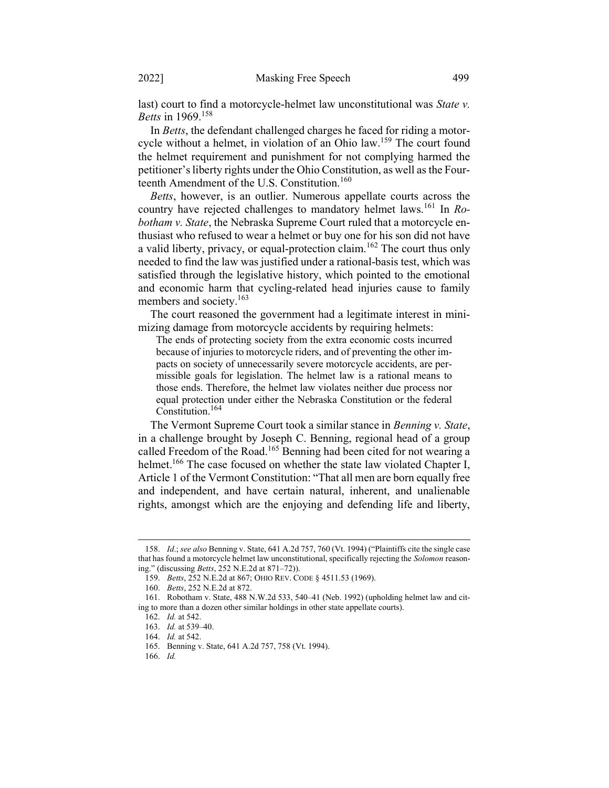last) court to find a motorcycle-helmet law unconstitutional was State v. Betts in 1969.<sup>158</sup>

In Betts, the defendant challenged charges he faced for riding a motorcycle without a helmet, in violation of an Ohio law.<sup>159</sup> The court found the helmet requirement and punishment for not complying harmed the petitioner's liberty rights under the Ohio Constitution, as well as the Fourteenth Amendment of the U.S. Constitution.<sup>160</sup>

Betts, however, is an outlier. Numerous appellate courts across the country have rejected challenges to mandatory helmet laws.<sup>161</sup> In Robotham v. State, the Nebraska Supreme Court ruled that a motorcycle enthusiast who refused to wear a helmet or buy one for his son did not have a valid liberty, privacy, or equal-protection claim.<sup>162</sup> The court thus only needed to find the law was justified under a rational-basis test, which was satisfied through the legislative history, which pointed to the emotional and economic harm that cycling-related head injuries cause to family members and society.<sup>163</sup>

The court reasoned the government had a legitimate interest in minimizing damage from motorcycle accidents by requiring helmets:

The ends of protecting society from the extra economic costs incurred because of injuries to motorcycle riders, and of preventing the other impacts on society of unnecessarily severe motorcycle accidents, are permissible goals for legislation. The helmet law is a rational means to those ends. Therefore, the helmet law violates neither due process nor equal protection under either the Nebraska Constitution or the federal Constitution.<sup>164</sup>

The Vermont Supreme Court took a similar stance in *Benning v. State*, in a challenge brought by Joseph C. Benning, regional head of a group called Freedom of the Road.<sup>165</sup> Benning had been cited for not wearing a helmet.<sup>166</sup> The case focused on whether the state law violated Chapter I, Article 1 of the Vermont Constitution: "That all men are born equally free and independent, and have certain natural, inherent, and unalienable rights, amongst which are the enjoying and defending life and liberty,

<sup>158.</sup> Id.; see also Benning v. State, 641 A.2d 757, 760 (Vt. 1994) ("Plaintiffs cite the single case that has found a motorcycle helmet law unconstitutional, specifically rejecting the Solomon reasoning." (discussing Betts, 252 N.E.2d at 871–72)).

<sup>159.</sup> Betts, 252 N.E.2d at 867; OHIO REV. CODE § 4511.53 (1969).

<sup>160.</sup> Betts, 252 N.E.2d at 872.

<sup>161.</sup> Robotham v. State, 488 N.W.2d 533, 540–41 (Neb. 1992) (upholding helmet law and citing to more than a dozen other similar holdings in other state appellate courts).

<sup>162.</sup> Id. at 542.

<sup>163.</sup> Id. at 539–40.

<sup>164.</sup> Id. at 542.

<sup>165.</sup> Benning v. State, 641 A.2d 757, 758 (Vt. 1994).

<sup>166.</sup> Id.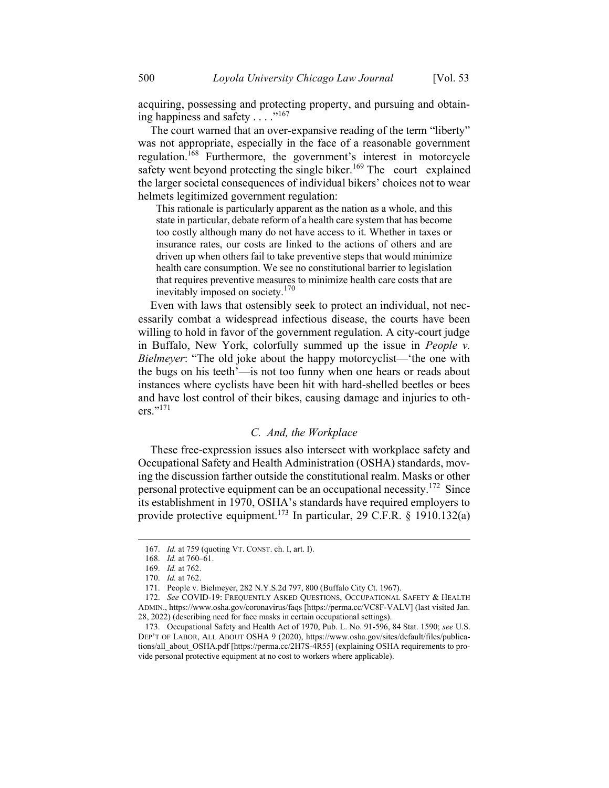acquiring, possessing and protecting property, and pursuing and obtaining happiness and safety  $\dots$ ."<sup>167</sup>

The court warned that an over-expansive reading of the term "liberty" was not appropriate, especially in the face of a reasonable government regulation.<sup>168</sup> Furthermore, the government's interest in motorcycle safety went beyond protecting the single biker.<sup>169</sup> The court explained the larger societal consequences of individual bikers' choices not to wear helmets legitimized government regulation:

This rationale is particularly apparent as the nation as a whole, and this state in particular, debate reform of a health care system that has become too costly although many do not have access to it. Whether in taxes or insurance rates, our costs are linked to the actions of others and are driven up when others fail to take preventive steps that would minimize health care consumption. We see no constitutional barrier to legislation that requires preventive measures to minimize health care costs that are inevitably imposed on society.<sup>170</sup>

Even with laws that ostensibly seek to protect an individual, not necessarily combat a widespread infectious disease, the courts have been willing to hold in favor of the government regulation. A city-court judge in Buffalo, New York, colorfully summed up the issue in People v. Bielmeyer: "The old joke about the happy motorcyclist— the one with the bugs on his teeth'—is not too funny when one hears or reads about instances where cyclists have been hit with hard-shelled beetles or bees and have lost control of their bikes, causing damage and injuries to others."<sup>171</sup>

# C. And, the Workplace

These free-expression issues also intersect with workplace safety and Occupational Safety and Health Administration (OSHA) standards, moving the discussion farther outside the constitutional realm. Masks or other personal protective equipment can be an occupational necessity.<sup>172</sup> Since its establishment in 1970, OSHA's standards have required employers to provide protective equipment.<sup>173</sup> In particular, 29 C.F.R. § 1910.132(a)

<sup>167.</sup> Id. at 759 (quoting VT. CONST. ch. I, art. I).

<sup>168.</sup> Id. at 760–61.

<sup>169.</sup> Id. at 762.

<sup>170.</sup> Id. at 762.

<sup>171.</sup> People v. Bielmeyer, 282 N.Y.S.2d 797, 800 (Buffalo City Ct. 1967).

<sup>172.</sup> See COVID-19: FREQUENTLY ASKED QUESTIONS, OCCUPATIONAL SAFETY & HEALTH ADMIN., https://www.osha.gov/coronavirus/faqs [https://perma.cc/VC8F-VALV] (last visited Jan. 28, 2022) (describing need for face masks in certain occupational settings).

<sup>173.</sup> Occupational Safety and Health Act of 1970, Pub. L. No. 91-596, 84 Stat. 1590; see U.S. DEP'T OF LABOR, ALL ABOUT OSHA 9 (2020), https://www.osha.gov/sites/default/files/publications/all\_about\_OSHA.pdf [https://perma.cc/2H7S-4R55] (explaining OSHA requirements to provide personal protective equipment at no cost to workers where applicable).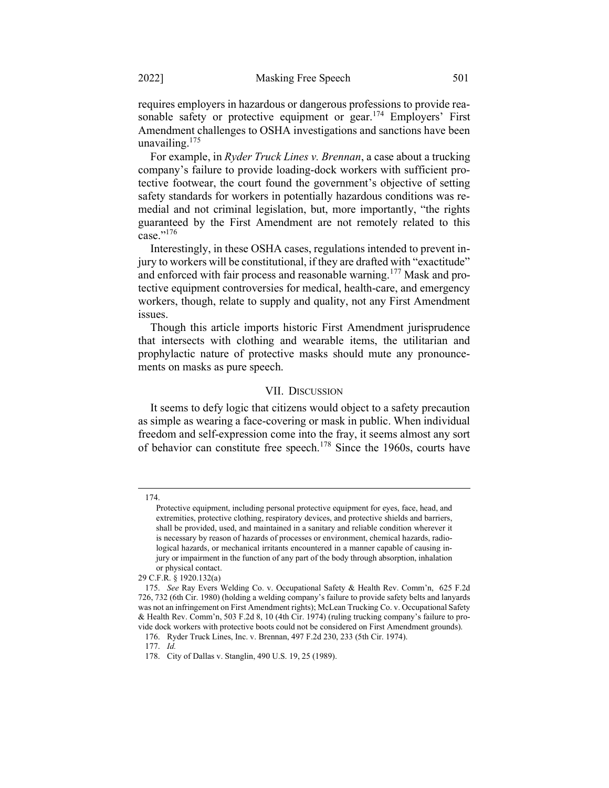requires employers in hazardous or dangerous professions to provide reasonable safety or protective equipment or gear.<sup>174</sup> Employers' First Amendment challenges to OSHA investigations and sanctions have been unavailing.<sup>175</sup>

For example, in Ryder Truck Lines v. Brennan, a case about a trucking company's failure to provide loading-dock workers with sufficient protective footwear, the court found the government's objective of setting safety standards for workers in potentially hazardous conditions was remedial and not criminal legislation, but, more importantly, "the rights guaranteed by the First Amendment are not remotely related to this case." $^{176}$ 

Interestingly, in these OSHA cases, regulations intended to prevent injury to workers will be constitutional, if they are drafted with "exactitude" and enforced with fair process and reasonable warning.<sup>177</sup> Mask and protective equipment controversies for medical, health-care, and emergency workers, though, relate to supply and quality, not any First Amendment issues.

Though this article imports historic First Amendment jurisprudence that intersects with clothing and wearable items, the utilitarian and prophylactic nature of protective masks should mute any pronouncements on masks as pure speech.

#### VII. DISCUSSION

It seems to defy logic that citizens would object to a safety precaution as simple as wearing a face-covering or mask in public. When individual freedom and self-expression come into the fray, it seems almost any sort of behavior can constitute free speech.<sup>178</sup> Since the 1960s, courts have

<sup>174.</sup> 

Protective equipment, including personal protective equipment for eyes, face, head, and extremities, protective clothing, respiratory devices, and protective shields and barriers, shall be provided, used, and maintained in a sanitary and reliable condition wherever it is necessary by reason of hazards of processes or environment, chemical hazards, radiological hazards, or mechanical irritants encountered in a manner capable of causing injury or impairment in the function of any part of the body through absorption, inhalation or physical contact.

<sup>29</sup> C.F.R. § 1920.132(a)

<sup>175.</sup> See Ray Evers Welding Co. v. Occupational Safety & Health Rev. Comm'n, 625 F.2d 726, 732 (6th Cir. 1980) (holding a welding company's failure to provide safety belts and lanyards was not an infringement on First Amendment rights); McLean Trucking Co. v. Occupational Safety & Health Rev. Comm'n, 503 F.2d 8, 10 (4th Cir. 1974) (ruling trucking company's failure to provide dock workers with protective boots could not be considered on First Amendment grounds).

<sup>176.</sup> Ryder Truck Lines, Inc. v. Brennan, 497 F.2d 230, 233 (5th Cir. 1974).

<sup>177.</sup> Id.

<sup>178.</sup> City of Dallas v. Stanglin, 490 U.S. 19, 25 (1989).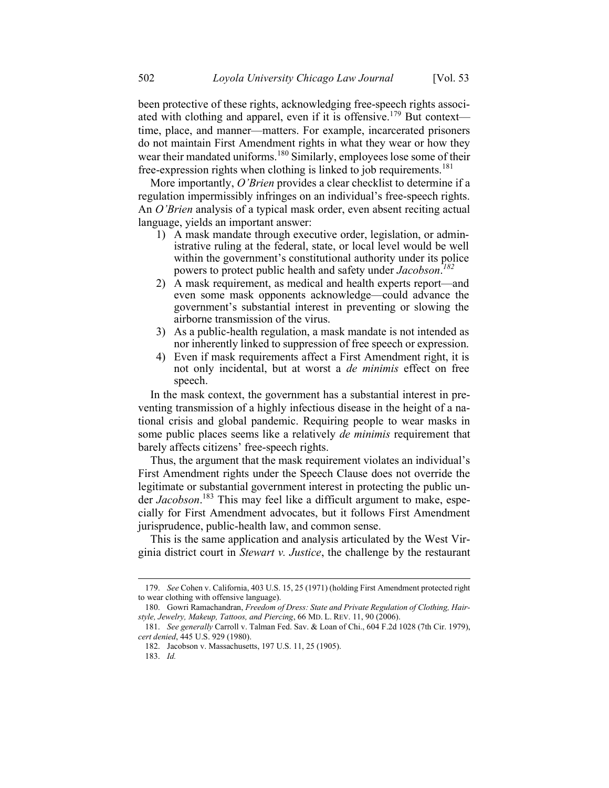been protective of these rights, acknowledging free-speech rights associated with clothing and apparel, even if it is offensive.<sup>179</sup> But context time, place, and manner—matters. For example, incarcerated prisoners do not maintain First Amendment rights in what they wear or how they wear their mandated uniforms.<sup>180</sup> Similarly, employees lose some of their free-expression rights when clothing is linked to job requirements.<sup>181</sup>

More importantly, O'Brien provides a clear checklist to determine if a regulation impermissibly infringes on an individual's free-speech rights. An *O'Brien* analysis of a typical mask order, even absent reciting actual language, yields an important answer:

- 1) A mask mandate through executive order, legislation, or administrative ruling at the federal, state, or local level would be well within the government's constitutional authority under its police powers to protect public health and safety under Jacobson.<sup>182</sup>
- 2) A mask requirement, as medical and health experts report—and even some mask opponents acknowledge—could advance the government's substantial interest in preventing or slowing the airborne transmission of the virus.
- 3) As a public-health regulation, a mask mandate is not intended as nor inherently linked to suppression of free speech or expression.
- 4) Even if mask requirements affect a First Amendment right, it is not only incidental, but at worst a de minimis effect on free speech.

In the mask context, the government has a substantial interest in preventing transmission of a highly infectious disease in the height of a national crisis and global pandemic. Requiring people to wear masks in some public places seems like a relatively *de minimis* requirement that barely affects citizens' free-speech rights.

Thus, the argument that the mask requirement violates an individual's First Amendment rights under the Speech Clause does not override the legitimate or substantial government interest in protecting the public under Jacobson.<sup>183</sup> This may feel like a difficult argument to make, especially for First Amendment advocates, but it follows First Amendment jurisprudence, public-health law, and common sense.

This is the same application and analysis articulated by the West Virginia district court in Stewart v. Justice, the challenge by the restaurant

<sup>179.</sup> See Cohen v. California, 403 U.S. 15, 25 (1971) (holding First Amendment protected right to wear clothing with offensive language).

<sup>180.</sup> Gowri Ramachandran, Freedom of Dress: State and Private Regulation of Clothing, Hairstyle, Jewelry, Makeup, Tattoos, and Piercing, 66 MD. L. REV. 11, 90 (2006).

<sup>181.</sup> See generally Carroll v. Talman Fed. Sav. & Loan of Chi., 604 F.2d 1028 (7th Cir. 1979), cert denied, 445 U.S. 929 (1980).

<sup>182.</sup> Jacobson v. Massachusetts, 197 U.S. 11, 25 (1905).

<sup>183.</sup> Id.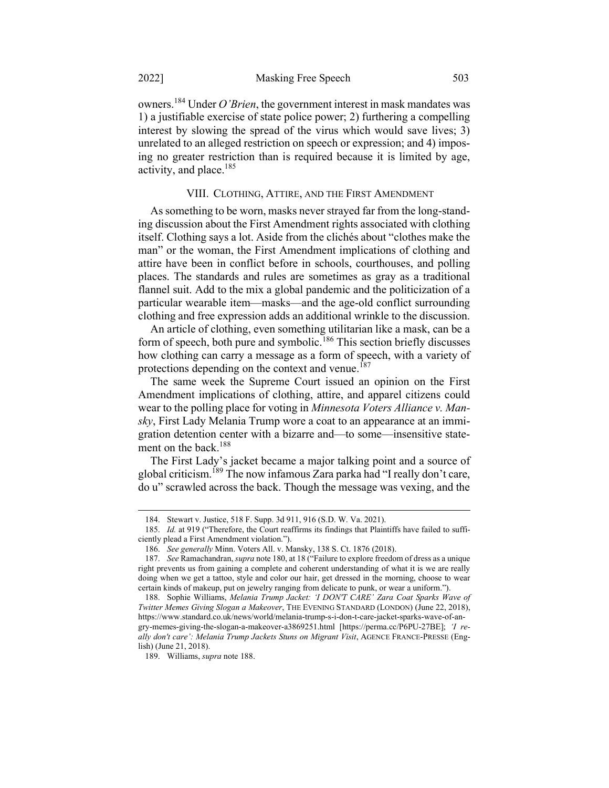owners.<sup>184</sup> Under *O'Brien*, the government interest in mask mandates was 1) a justifiable exercise of state police power; 2) furthering a compelling interest by slowing the spread of the virus which would save lives; 3) unrelated to an alleged restriction on speech or expression; and 4) imposing no greater restriction than is required because it is limited by age, activity, and place.<sup>185</sup>

#### VIII. CLOTHING, ATTIRE, AND THE FIRST AMENDMENT

As something to be worn, masks never strayed far from the long-standing discussion about the First Amendment rights associated with clothing itself. Clothing says a lot. Aside from the clichés about "clothes make the man" or the woman, the First Amendment implications of clothing and attire have been in conflict before in schools, courthouses, and polling places. The standards and rules are sometimes as gray as a traditional flannel suit. Add to the mix a global pandemic and the politicization of a particular wearable item—masks—and the age-old conflict surrounding clothing and free expression adds an additional wrinkle to the discussion.

An article of clothing, even something utilitarian like a mask, can be a form of speech, both pure and symbolic.<sup>186</sup> This section briefly discusses how clothing can carry a message as a form of speech, with a variety of protections depending on the context and venue.<sup>187</sup>

The same week the Supreme Court issued an opinion on the First Amendment implications of clothing, attire, and apparel citizens could wear to the polling place for voting in Minnesota Voters Alliance v. Mansky, First Lady Melania Trump wore a coat to an appearance at an immigration detention center with a bizarre and—to some—insensitive statement on the back. $188$ 

The First Lady's jacket became a major talking point and a source of global criticism.<sup>189</sup> The now infamous Zara parka had "I really don't care, do u" scrawled across the back. Though the message was vexing, and the

<sup>184.</sup> Stewart v. Justice, 518 F. Supp. 3d 911, 916 (S.D. W. Va. 2021).

<sup>185.</sup> Id. at 919 ("Therefore, the Court reaffirms its findings that Plaintiffs have failed to sufficiently plead a First Amendment violation.").

<sup>186.</sup> See generally Minn. Voters All. v. Mansky, 138 S. Ct. 1876 (2018).

<sup>187.</sup> See Ramachandran, *supra* note 180, at 18 ("Failure to explore freedom of dress as a unique right prevents us from gaining a complete and coherent understanding of what it is we are really doing when we get a tattoo, style and color our hair, get dressed in the morning, choose to wear certain kinds of makeup, put on jewelry ranging from delicate to punk, or wear a uniform.").

<sup>188.</sup> Sophie Williams, Melania Trump Jacket: 'I DON'T CARE' Zara Coat Sparks Wave of Twitter Memes Giving Slogan a Makeover, THE EVENING STANDARD (LONDON) (June 22, 2018), https://www.standard.co.uk/news/world/melania-trump-s-i-don-t-care-jacket-sparks-wave-of-angry-memes-giving-the-slogan-a-makeover-a3869251.html [https://perma.cc/P6PU-27BE]; 'I really don't care': Melania Trump Jackets Stuns on Migrant Visit, AGENCE FRANCE-PRESSE (English) (June 21, 2018).

<sup>189.</sup> Williams, supra note 188.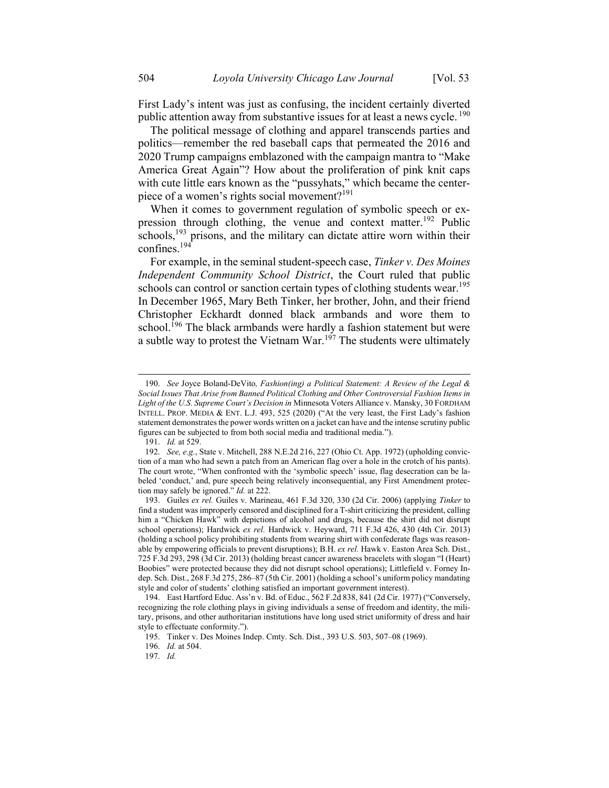First Lady's intent was just as confusing, the incident certainly diverted public attention away from substantive issues for at least a news cycle.<sup>190</sup>

The political message of clothing and apparel transcends parties and politics—remember the red baseball caps that permeated the 2016 and 2020 Trump campaigns emblazoned with the campaign mantra to "Make America Great Again"? How about the proliferation of pink knit caps with cute little ears known as the "pussyhats," which became the centerpiece of a women's rights social movement?<sup>191</sup>

When it comes to government regulation of symbolic speech or expression through clothing, the venue and context matter.<sup>192</sup> Public  $\overline{\text{sc}}$  hools,<sup>193</sup> prisons, and the military can dictate attire worn within their confines.<sup>194</sup>

For example, in the seminal student-speech case, Tinker v. Des Moines Independent Community School District, the Court ruled that public schools can control or sanction certain types of clothing students wear.<sup>195</sup> In December 1965, Mary Beth Tinker, her brother, John, and their friend Christopher Eckhardt donned black armbands and wore them to school.<sup>196</sup> The black armbands were hardly a fashion statement but were a subtle way to protest the Vietnam War.<sup>197</sup> The students were ultimately

<sup>190.</sup> See Joyce Boland-DeVito, Fashion(ing) a Political Statement: A Review of the Legal & Social Issues That Arise from Banned Political Clothing and Other Controversial Fashion Items in Light of the U.S. Supreme Court's Decision in Minnesota Voters Alliance v. Mansky, 30 FORDHAM INTELL. PROP. MEDIA & ENT. L.J. 493, 525 (2020) ("At the very least, the First Lady's fashion statement demonstrates the power words written on a jacket can have and the intense scrutiny public figures can be subjected to from both social media and traditional media.").

<sup>191.</sup> Id. at 529.

<sup>192.</sup> See, e.g., State v. Mitchell, 288 N.E.2d 216, 227 (Ohio Ct. App. 1972) (upholding conviction of a man who had sewn a patch from an American flag over a hole in the crotch of his pants). The court wrote, "When confronted with the 'symbolic speech' issue, flag desecration can be labeled 'conduct,' and, pure speech being relatively inconsequential, any First Amendment protection may safely be ignored." Id. at 222.

<sup>193.</sup> Guiles ex rel. Guiles v. Marineau, 461 F.3d 320, 330 (2d Cir. 2006) (applying Tinker to find a student was improperly censored and disciplined for a T-shirt criticizing the president, calling him a "Chicken Hawk" with depictions of alcohol and drugs, because the shirt did not disrupt school operations); Hardwick ex rel. Hardwick v. Heyward, 711 F.3d 426, 430 (4th Cir. 2013) (holding a school policy prohibiting students from wearing shirt with confederate flags was reasonable by empowering officials to prevent disruptions); B.H. ex rel. Hawk v. Easton Area Sch. Dist., 725 F.3d 293, 298 (3d Cir. 2013) (holding breast cancer awareness bracelets with slogan "I (Heart) Boobies" were protected because they did not disrupt school operations); Littlefield v. Forney Indep. Sch. Dist., 268 F.3d 275, 286–87 (5th Cir. 2001) (holding a school's uniform policy mandating style and color of students' clothing satisfied an important government interest).

<sup>194.</sup> East Hartford Educ. Ass'n v. Bd. of Educ., 562 F.2d 838, 841 (2d Cir. 1977) ("Conversely, recognizing the role clothing plays in giving individuals a sense of freedom and identity, the military, prisons, and other authoritarian institutions have long used strict uniformity of dress and hair style to effectuate conformity.").

<sup>195.</sup> Tinker v. Des Moines Indep. Cmty. Sch. Dist., 393 U.S. 503, 507–08 (1969).

<sup>196.</sup> Id. at 504.

<sup>197.</sup> Id.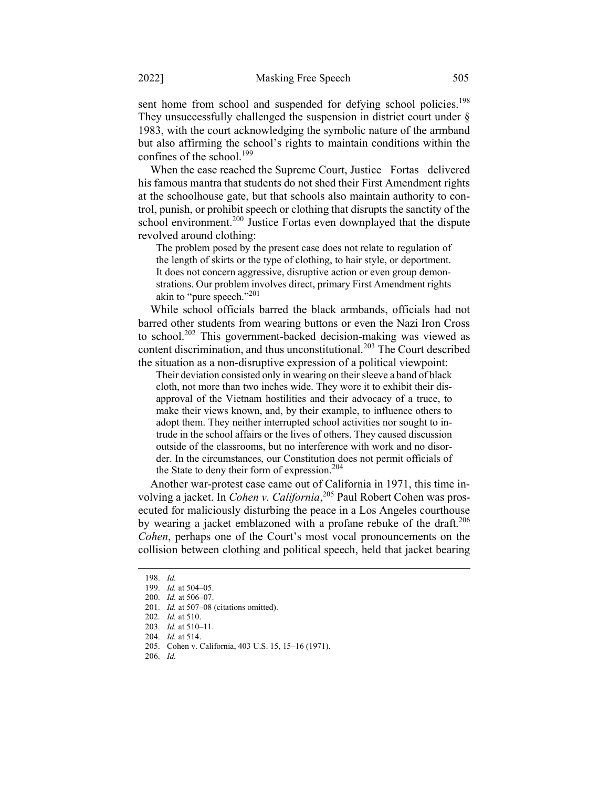sent home from school and suspended for defying school policies.<sup>198</sup> They unsuccessfully challenged the suspension in district court under  $\S$ 1983, with the court acknowledging the symbolic nature of the armband but also affirming the school's rights to maintain conditions within the confines of the school. $199$ 

When the case reached the Supreme Court, Justice Fortas delivered his famous mantra that students do not shed their First Amendment rights at the schoolhouse gate, but that schools also maintain authority to control, punish, or prohibit speech or clothing that disrupts the sanctity of the school environment.<sup>200</sup> Justice Fortas even downplayed that the dispute revolved around clothing:

The problem posed by the present case does not relate to regulation of the length of skirts or the type of clothing, to hair style, or deportment. It does not concern aggressive, disruptive action or even group demonstrations. Our problem involves direct, primary First Amendment rights akin to "pure speech."<sup>201</sup>

While school officials barred the black armbands, officials had not barred other students from wearing buttons or even the Nazi Iron Cross to school.<sup>202</sup> This government-backed decision-making was viewed as content discrimination, and thus unconstitutional.<sup>203</sup> The Court described the situation as a non-disruptive expression of a political viewpoint:

Their deviation consisted only in wearing on their sleeve a band of black cloth, not more than two inches wide. They wore it to exhibit their disapproval of the Vietnam hostilities and their advocacy of a truce, to make their views known, and, by their example, to influence others to adopt them. They neither interrupted school activities nor sought to intrude in the school affairs or the lives of others. They caused discussion outside of the classrooms, but no interference with work and no disorder. In the circumstances, our Constitution does not permit officials of the State to deny their form of expression.<sup>204</sup>

Another war-protest case came out of California in 1971, this time involving a jacket. In *Cohen v. California*,<sup>205</sup> Paul Robert Cohen was prosecuted for maliciously disturbing the peace in a Los Angeles courthouse by wearing a jacket emblazoned with a profane rebuke of the draft.<sup>206</sup> Cohen, perhaps one of the Court's most vocal pronouncements on the collision between clothing and political speech, held that jacket bearing

<sup>198.</sup> Id.

<sup>199.</sup> Id. at 504–05.

<sup>200.</sup> Id. at 506–07.

<sup>201.</sup> Id. at 507-08 (citations omitted).

<sup>202.</sup> Id. at 510.

<sup>203.</sup> Id. at 510–11.

<sup>204.</sup> Id. at 514.

<sup>205.</sup> Cohen v. California, 403 U.S. 15, 15–16 (1971).

<sup>206.</sup> Id.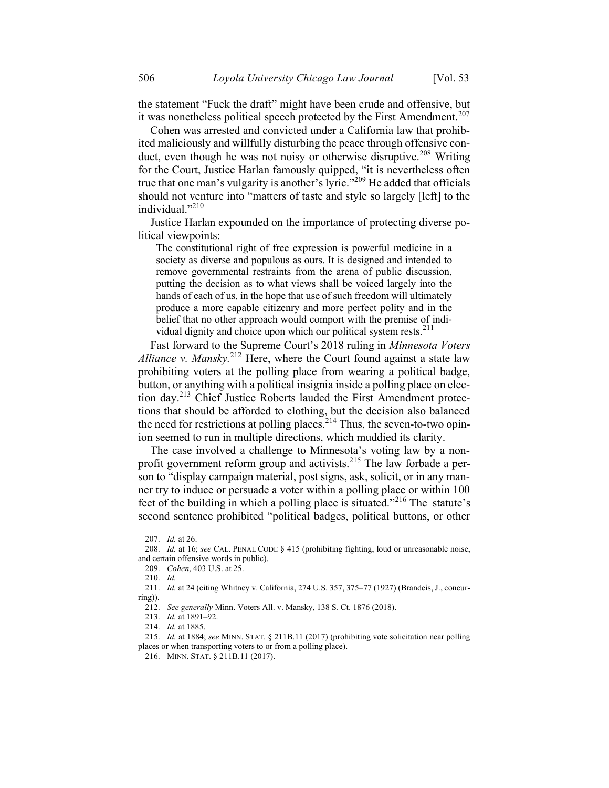the statement "Fuck the draft" might have been crude and offensive, but it was nonetheless political speech protected by the First Amendment.<sup>207</sup>

Cohen was arrested and convicted under a California law that prohibited maliciously and willfully disturbing the peace through offensive conduct, even though he was not noisy or otherwise disruptive.<sup>208</sup> Writing for the Court, Justice Harlan famously quipped, "it is nevertheless often true that one man's vulgarity is another's lyric."<sup>209</sup> He added that officials should not venture into "matters of taste and style so largely [left] to the individual."<sup>210</sup>

Justice Harlan expounded on the importance of protecting diverse political viewpoints:

The constitutional right of free expression is powerful medicine in a society as diverse and populous as ours. It is designed and intended to remove governmental restraints from the arena of public discussion, putting the decision as to what views shall be voiced largely into the hands of each of us, in the hope that use of such freedom will ultimately produce a more capable citizenry and more perfect polity and in the belief that no other approach would comport with the premise of individual dignity and choice upon which our political system rests.<sup>211</sup>

Fast forward to the Supreme Court's 2018 ruling in Minnesota Voters Alliance v. Mansky.<sup>212</sup> Here, where the Court found against a state law prohibiting voters at the polling place from wearing a political badge, button, or anything with a political insignia inside a polling place on election day.<sup>213</sup> Chief Justice Roberts lauded the First Amendment protections that should be afforded to clothing, but the decision also balanced the need for restrictions at polling places.<sup>214</sup> Thus, the seven-to-two opinion seemed to run in multiple directions, which muddied its clarity.

The case involved a challenge to Minnesota's voting law by a nonprofit government reform group and activists.<sup>215</sup> The law forbade a person to "display campaign material, post signs, ask, solicit, or in any manner try to induce or persuade a voter within a polling place or within 100 feet of the building in which a polling place is situated."<sup>216</sup> The statute's second sentence prohibited "political badges, political buttons, or other

<sup>207.</sup> Id. at 26.

<sup>208.</sup> Id. at 16; see CAL. PENAL CODE § 415 (prohibiting fighting, loud or unreasonable noise, and certain offensive words in public).

<sup>209.</sup> Cohen, 403 U.S. at 25.

<sup>210.</sup> Id.

<sup>211.</sup> Id. at 24 (citing Whitney v. California, 274 U.S. 357, 375–77 (1927) (Brandeis, J., concurring)).

<sup>212.</sup> See generally Minn. Voters All. v. Mansky, 138 S. Ct. 1876 (2018).

<sup>213.</sup> Id. at 1891–92.

<sup>214.</sup> Id. at 1885.

<sup>215.</sup> Id. at 1884; see MINN. STAT. § 211B.11 (2017) (prohibiting vote solicitation near polling places or when transporting voters to or from a polling place).

<sup>216.</sup> MINN. STAT. § 211B.11 (2017).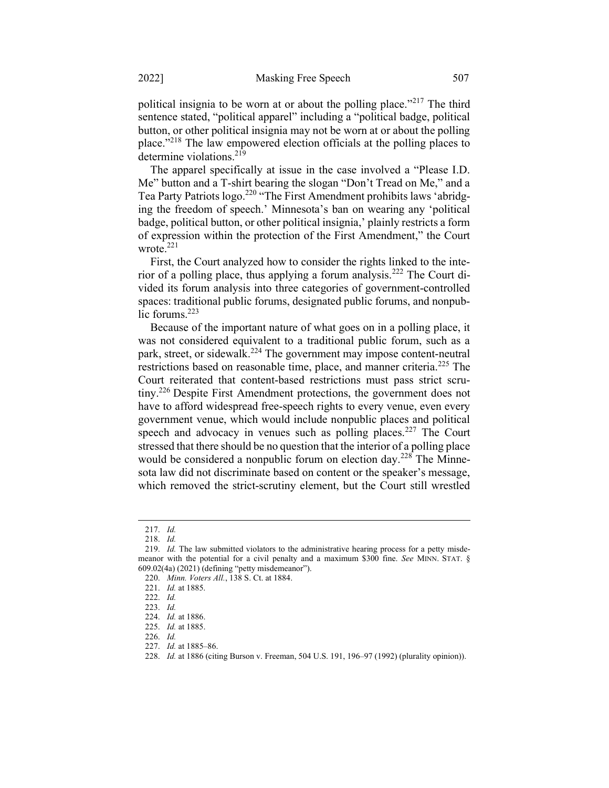political insignia to be worn at or about the polling place."<sup>217</sup> The third sentence stated, "political apparel" including a "political badge, political button, or other political insignia may not be worn at or about the polling place."<sup>218</sup> The law empowered election officials at the polling places to determine violations.<sup>219</sup>

The apparel specifically at issue in the case involved a "Please I.D. Me" button and a T-shirt bearing the slogan "Don't Tread on Me," and a Tea Party Patriots logo.<sup>220</sup> "The First Amendment prohibits laws 'abridging the freedom of speech.' Minnesota's ban on wearing any 'political badge, political button, or other political insignia,' plainly restricts a form of expression within the protection of the First Amendment," the Court wrote. $^{221}$ 

First, the Court analyzed how to consider the rights linked to the interior of a polling place, thus applying a forum analysis.<sup>222</sup> The Court divided its forum analysis into three categories of government-controlled spaces: traditional public forums, designated public forums, and nonpublic forums.<sup>223</sup>

Because of the important nature of what goes on in a polling place, it was not considered equivalent to a traditional public forum, such as a park, street, or sidewalk.<sup>224</sup> The government may impose content-neutral restrictions based on reasonable time, place, and manner criteria.<sup>225</sup> The Court reiterated that content-based restrictions must pass strict scrutiny.<sup>226</sup> Despite First Amendment protections, the government does not have to afford widespread free-speech rights to every venue, even every government venue, which would include nonpublic places and political speech and advocacy in venues such as polling places.<sup>227</sup> The Court stressed that there should be no question that the interior of a polling place would be considered a nonpublic forum on election day.<sup>228</sup> The Minnesota law did not discriminate based on content or the speaker's message, which removed the strict-scrutiny element, but the Court still wrestled

<sup>217.</sup> Id.

<sup>218.</sup> Id.

<sup>219.</sup> Id. The law submitted violators to the administrative hearing process for a petty misdemeanor with the potential for a civil penalty and a maximum \$300 fine. See MINN. STAT. § 609.02(4a) (2021) (defining "petty misdemeanor").

<sup>220.</sup> Minn. Voters All., 138 S. Ct. at 1884.

<sup>221.</sup> Id. at 1885.

<sup>222.</sup> Id.

<sup>223.</sup> Id.

<sup>224.</sup> Id. at 1886.

<sup>225.</sup> Id. at 1885.

<sup>226.</sup> Id.

<sup>227.</sup> Id. at 1885–86.

<sup>228.</sup> Id. at 1886 (citing Burson v. Freeman, 504 U.S. 191, 196–97 (1992) (plurality opinion)).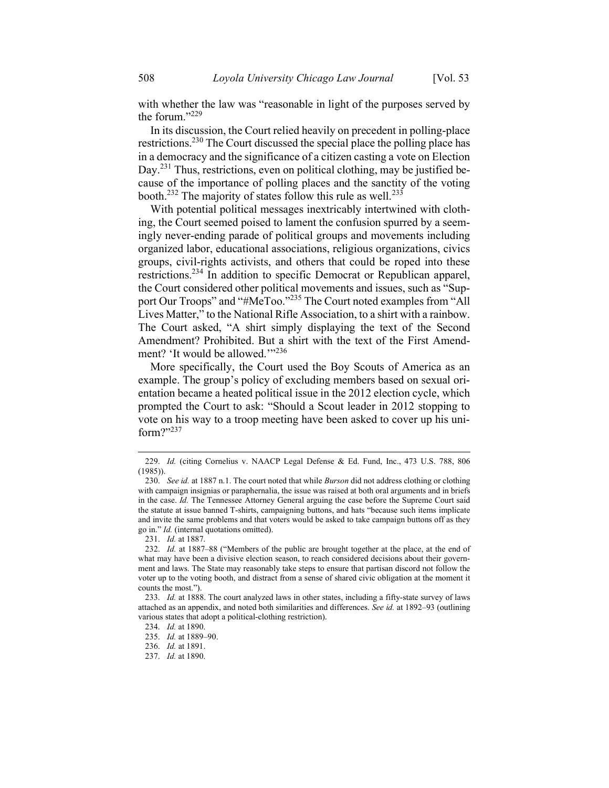with whether the law was "reasonable in light of the purposes served by the forum."229

In its discussion, the Court relied heavily on precedent in polling-place restrictions.<sup>230</sup> The Court discussed the special place the polling place has in a democracy and the significance of a citizen casting a vote on Election Day.<sup>231</sup> Thus, restrictions, even on political clothing, may be justified because of the importance of polling places and the sanctity of the voting booth.<sup>232</sup> The majority of states follow this rule as well.<sup>233</sup>

With potential political messages inextricably intertwined with clothing, the Court seemed poised to lament the confusion spurred by a seemingly never-ending parade of political groups and movements including organized labor, educational associations, religious organizations, civics groups, civil-rights activists, and others that could be roped into these restrictions.<sup>234</sup> In addition to specific Democrat or Republican apparel, the Court considered other political movements and issues, such as "Support Our Troops" and "#MeToo."<sup>235</sup> The Court noted examples from "All Lives Matter," to the National Rifle Association, to a shirt with a rainbow. The Court asked, "A shirt simply displaying the text of the Second Amendment? Prohibited. But a shirt with the text of the First Amendment? 'It would be allowed.'"<sup>236</sup>

More specifically, the Court used the Boy Scouts of America as an example. The group's policy of excluding members based on sexual orientation became a heated political issue in the 2012 election cycle, which prompted the Court to ask: "Should a Scout leader in 2012 stopping to vote on his way to a troop meeting have been asked to cover up his uniform?"237

<sup>229.</sup> Id. (citing Cornelius v. NAACP Legal Defense & Ed. Fund, Inc., 473 U.S. 788, 806  $(1985)$ ).

<sup>230.</sup> See id. at 1887 n.1. The court noted that while Burson did not address clothing or clothing with campaign insignias or paraphernalia, the issue was raised at both oral arguments and in briefs in the case. Id. The Tennessee Attorney General arguing the case before the Supreme Court said the statute at issue banned T-shirts, campaigning buttons, and hats "because such items implicate and invite the same problems and that voters would be asked to take campaign buttons off as they go in." Id. (internal quotations omitted).

<sup>231.</sup> Id. at 1887.

<sup>232.</sup> Id. at 1887–88 ("Members of the public are brought together at the place, at the end of what may have been a divisive election season, to reach considered decisions about their government and laws. The State may reasonably take steps to ensure that partisan discord not follow the voter up to the voting booth, and distract from a sense of shared civic obligation at the moment it counts the most.").

<sup>233.</sup> Id. at 1888. The court analyzed laws in other states, including a fifty-state survey of laws attached as an appendix, and noted both similarities and differences. See id. at 1892–93 (outlining various states that adopt a political-clothing restriction).

<sup>234.</sup> Id. at 1890.

<sup>235.</sup> Id. at 1889–90.

<sup>236.</sup> Id. at 1891.

<sup>237.</sup> Id. at 1890.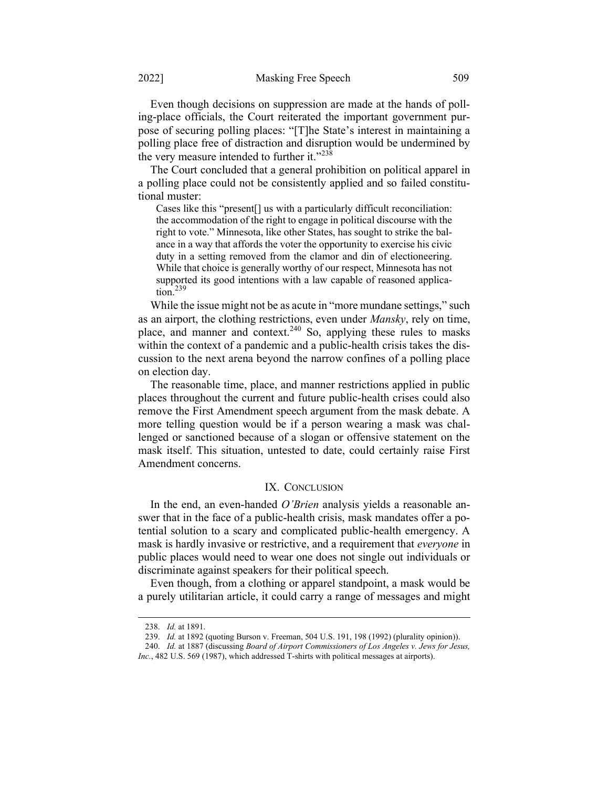Even though decisions on suppression are made at the hands of polling-place officials, the Court reiterated the important government purpose of securing polling places: "[T]he State's interest in maintaining a polling place free of distraction and disruption would be undermined by the very measure intended to further it."<sup>238</sup>

The Court concluded that a general prohibition on political apparel in a polling place could not be consistently applied and so failed constitutional muster:

Cases like this "present[] us with a particularly difficult reconciliation: the accommodation of the right to engage in political discourse with the right to vote." Minnesota, like other States, has sought to strike the balance in a way that affords the voter the opportunity to exercise his civic duty in a setting removed from the clamor and din of electioneering. While that choice is generally worthy of our respect, Minnesota has not supported its good intentions with a law capable of reasoned application.<sup>239</sup>

While the issue might not be as acute in "more mundane settings," such as an airport, the clothing restrictions, even under Mansky, rely on time, place, and manner and context.<sup>240</sup> So, applying these rules to masks within the context of a pandemic and a public-health crisis takes the discussion to the next arena beyond the narrow confines of a polling place on election day.

The reasonable time, place, and manner restrictions applied in public places throughout the current and future public-health crises could also remove the First Amendment speech argument from the mask debate. A more telling question would be if a person wearing a mask was challenged or sanctioned because of a slogan or offensive statement on the mask itself. This situation, untested to date, could certainly raise First Amendment concerns.

#### IX. CONCLUSION

In the end, an even-handed *O'Brien* analysis yields a reasonable answer that in the face of a public-health crisis, mask mandates offer a potential solution to a scary and complicated public-health emergency. A mask is hardly invasive or restrictive, and a requirement that everyone in public places would need to wear one does not single out individuals or discriminate against speakers for their political speech.

Even though, from a clothing or apparel standpoint, a mask would be a purely utilitarian article, it could carry a range of messages and might

<sup>238.</sup> Id. at 1891.

<sup>239.</sup> Id. at 1892 (quoting Burson v. Freeman, 504 U.S. 191, 198 (1992) (plurality opinion)).

<sup>240.</sup> Id. at 1887 (discussing Board of Airport Commissioners of Los Angeles v. Jews for Jesus, Inc., 482 U.S. 569 (1987), which addressed T-shirts with political messages at airports).